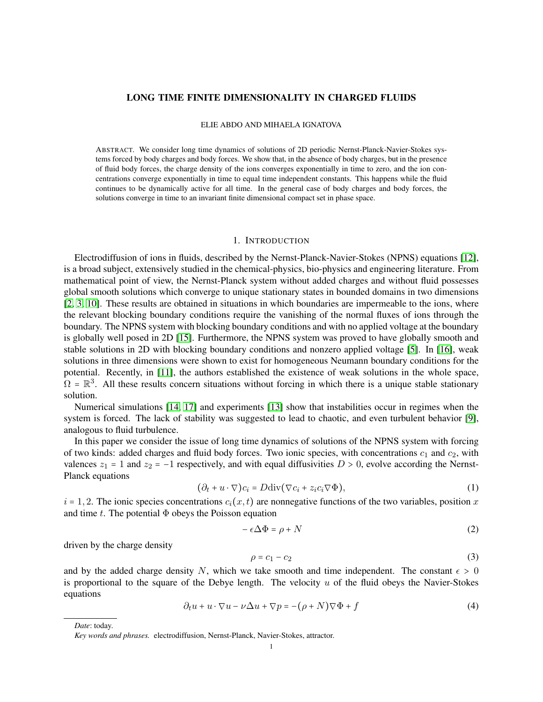# LONG TIME FINITE DIMENSIONALITY IN CHARGED FLUIDS

### ELIE ABDO AND MIHAELA IGNATOVA

ABSTRACT. We consider long time dynamics of solutions of 2D periodic Nernst-Planck-Navier-Stokes systems forced by body charges and body forces. We show that, in the absence of body charges, but in the presence of fluid body forces, the charge density of the ions converges exponentially in time to zero, and the ion concentrations converge exponentially in time to equal time independent constants. This happens while the fluid continues to be dynamically active for all time. In the general case of body charges and body forces, the solutions converge in time to an invariant finite dimensional compact set in phase space.

#### 1. INTRODUCTION

Electrodiffusion of ions in fluids, described by the Nernst-Planck-Navier-Stokes (NPNS) equations [\[12\]](#page-25-0), is a broad subject, extensively studied in the chemical-physics, bio-physics and engineering literature. From mathematical point of view, the Nernst-Planck system without added charges and without fluid possesses global smooth solutions which converge to unique stationary states in bounded domains in two dimensions [\[2,](#page-25-1) [3,](#page-25-2) [10\]](#page-25-3). These results are obtained in situations in which boundaries are impermeable to the ions, where the relevant blocking boundary conditions require the vanishing of the normal fluxes of ions through the boundary. The NPNS system with blocking boundary conditions and with no applied voltage at the boundary is globally well posed in 2D [\[15\]](#page-25-4). Furthermore, the NPNS system was proved to have globally smooth and stable solutions in 2D with blocking boundary conditions and nonzero applied voltage [\[5\]](#page-25-5). In [\[16\]](#page-25-6), weak solutions in three dimensions were shown to exist for homogeneous Neumann boundary conditions for the potential. Recently, in [\[11\]](#page-25-7), the authors established the existence of weak solutions in the whole space,  $\Omega = \mathbb{R}^3$ . All these results concern situations without forcing in which there is a unique stable stationary solution.

Numerical simulations [\[14,](#page-25-8) [17\]](#page-25-9) and experiments [\[13\]](#page-25-10) show that instabilities occur in regimes when the system is forced. The lack of stability was suggested to lead to chaotic, and even turbulent behavior [\[9\]](#page-25-11), analogous to fluid turbulence.

In this paper we consider the issue of long time dynamics of solutions of the NPNS system with forcing of two kinds: added charges and fluid body forces. Two ionic species, with concentrations  $c_1$  and  $c_2$ , with valences  $z_1 = 1$  and  $z_2 = -1$  respectively, and with equal diffusivities  $D > 0$ , evolve according the Nernst-Planck equations

<span id="page-0-0"></span>
$$
(\partial_t + u \cdot \nabla)c_i = D\text{div}(\nabla c_i + z_i c_i \nabla \Phi),\tag{1}
$$

 $i = 1, 2$ . The ionic species concentrations  $c_i(x, t)$  are nonnegative functions of the two variables, position x and time t. The potential  $\Phi$  obeys the Poisson equation

$$
-\epsilon \Delta \Phi = \rho + N \tag{2}
$$

driven by the charge density

$$
\rho = c_1 - c_2 \tag{3}
$$

and by the added charge density N, which we take smooth and time independent. The constant  $\epsilon > 0$ is proportional to the square of the Debye length. The velocity  $u$  of the fluid obeys the Navier-Stokes equations

$$
\partial_t u + u \cdot \nabla u - \nu \Delta u + \nabla p = -(\rho + N) \nabla \Phi + f \tag{4}
$$

*Date*: today.

*Key words and phrases.* electrodiffusion, Nernst-Planck, Navier-Stokes, attractor.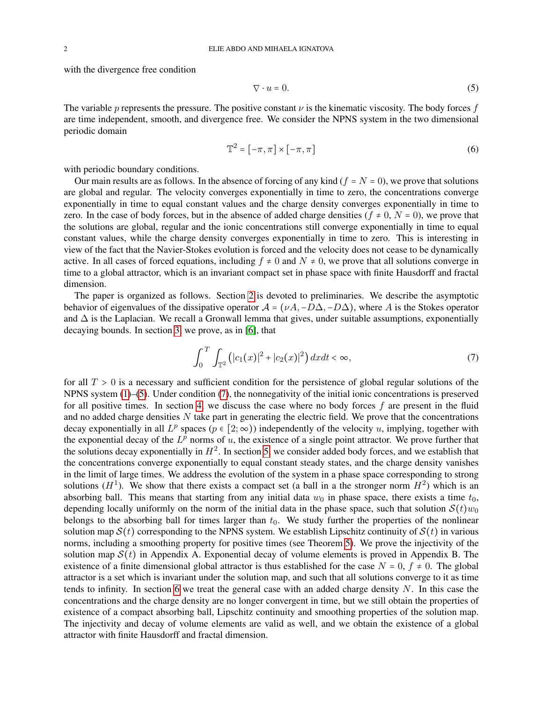with the divergence free condition

<span id="page-1-0"></span>
$$
\nabla \cdot u = 0. \tag{5}
$$

The variable p represents the pressure. The positive constant  $\nu$  is the kinematic viscosity. The body forces f are time independent, smooth, and divergence free. We consider the NPNS system in the two dimensional periodic domain

$$
\mathbb{T}^2 = [-\pi, \pi] \times [-\pi, \pi] \tag{6}
$$

with periodic boundary conditions.

Our main results are as follows. In the absence of forcing of any kind ( $f = N = 0$ ), we prove that solutions are global and regular. The velocity converges exponentially in time to zero, the concentrations converge exponentially in time to equal constant values and the charge density converges exponentially in time to zero. In the case of body forces, but in the absence of added charge densities ( $f \neq 0$ ,  $N = 0$ ), we prove that the solutions are global, regular and the ionic concentrations still converge exponentially in time to equal constant values, while the charge density converges exponentially in time to zero. This is interesting in view of the fact that the Navier-Stokes evolution is forced and the velocity does not cease to be dynamically active. In all cases of forced equations, including  $f \neq 0$  and  $N \neq 0$ , we prove that all solutions converge in time to a global attractor, which is an invariant compact set in phase space with finite Hausdorff and fractal dimension.

The paper is organized as follows. Section [2](#page-2-0) is devoted to preliminaries. We describe the asymptotic behavior of eigenvalues of the dissipative operator  $A = (\nu A, -D\Delta, -D\Delta)$ , where A is the Stokes operator and  $\Delta$  is the Laplacian. We recall a Gronwall lemma that gives, under suitable assumptions, exponentially decaying bounds. In section [3,](#page-3-0) we prove, as in [\[6\]](#page-25-12), that

<span id="page-1-1"></span>
$$
\int_0^T \int_{\mathbb{T}^2} (|c_1(x)|^2 + |c_2(x)|^2) \, dx dt < \infty,\tag{7}
$$

for all  $T > 0$  is a necessary and sufficient condition for the persistence of global regular solutions of the NPNS system [\(1\)](#page-0-0)–[\(5\)](#page-1-0). Under condition [\(7\)](#page-1-1), the nonnegativity of the initial ionic concentrations is preserved for all positive times. In section [4,](#page-7-0) we discuss the case where no body forces  $f$  are present in the fluid and no added charge densities  $N$  take part in generating the electric field. We prove that the concentrations decay exponentially in all  $L^p$  spaces  $(p \in [2, \infty))$  independently of the velocity u, implying, together with the exponential decay of the  $L^p$  norms of u, the existence of a single point attractor. We prove further that the solutions decay exponentially in  $H^2$ . In section [5,](#page-12-0) we consider added body forces, and we establish that the concentrations converge exponentially to equal constant steady states, and the charge density vanishes in the limit of large times. We address the evolution of the system in a phase space corresponding to strong solutions  $(H<sup>1</sup>)$ . We show that there exists a compact set (a ball in a the stronger norm  $H<sup>2</sup>$ ) which is an absorbing ball. This means that starting from any initial data  $w_0$  in phase space, there exists a time  $t_0$ , depending locally uniformly on the norm of the initial data in the phase space, such that solution  $S(t)w_0$ belongs to the absorbing ball for times larger than  $t_0$ . We study further the properties of the nonlinear solution map  $S(t)$  corresponding to the NPNS system. We establish Lipschitz continuity of  $S(t)$  in various norms, including a smoothing property for positive times (see Theorem [5\)](#page-14-0). We prove the injectivity of the solution map  $S(t)$  in Appendix A. Exponential decay of volume elements is proved in Appendix B. The existence of a finite dimensional global attractor is thus established for the case  $N = 0$ ,  $f \neq 0$ . The global attractor is a set which is invariant under the solution map, and such that all solutions converge to it as time tends to infinity. In section [6](#page-18-0) we treat the general case with an added charge density  $N$ . In this case the concentrations and the charge density are no longer convergent in time, but we still obtain the properties of existence of a compact absorbing ball, Lipschitz continuity and smoothing properties of the solution map. The injectivity and decay of volume elements are valid as well, and we obtain the existence of a global attractor with finite Hausdorff and fractal dimension.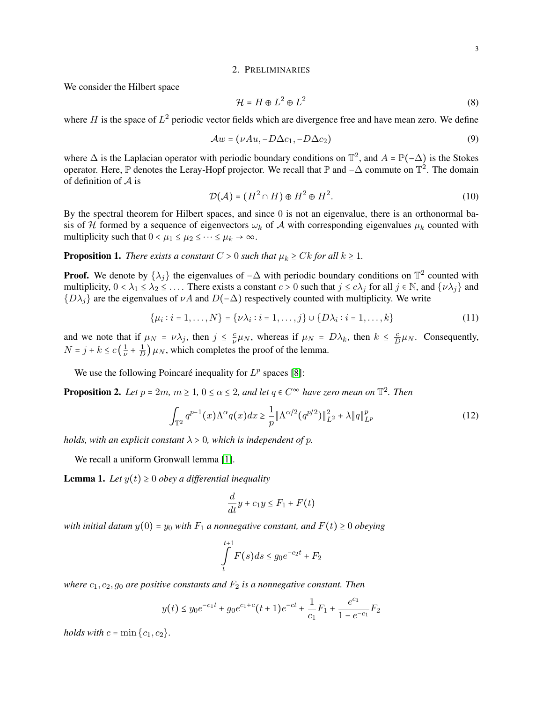### 2. PRELIMINARIES

<span id="page-2-0"></span>We consider the Hilbert space

$$
\mathcal{H} = H \oplus L^2 \oplus L^2 \tag{8}
$$

where H is the space of  $L^2$  periodic vector fields which are divergence free and have mean zero. We define

$$
\mathcal{A}w = (\nu Au, -D\Delta c_1, -D\Delta c_2) \tag{9}
$$

where  $\Delta$  is the Laplacian operator with periodic boundary conditions on  $\mathbb{T}^2$ , and  $A = \mathbb{P}(-\Delta)$  is the Stokes operator. Here, P denotes the Leray-Hopf projector. We recall that P and  $-\Delta$  commute on  $\mathbb{T}^2$ . The domain of definition of  $A$  is

$$
\mathcal{D}(\mathcal{A}) = (H^2 \cap H) \oplus H^2 \oplus H^2. \tag{10}
$$

By the spectral theorem for Hilbert spaces, and since 0 is not an eigenvalue, there is an orthonormal basis of H formed by a sequence of eigenvectors  $\omega_k$  of A with corresponding eigenvalues  $\mu_k$  counted with multiplicity such that  $0 < \mu_1 \leq \mu_2 \leq \cdots \leq \mu_k \to \infty$ .

<span id="page-2-3"></span>**Proposition 1.** *There exists a constant*  $C > 0$  *such that*  $\mu_k \geq Ck$  *for all*  $k \geq 1$ *.* 

**Proof.** We denote by  $\{\lambda_j\}$  the eigenvalues of  $-\Delta$  with periodic boundary conditions on  $\mathbb{T}^2$  counted with multiplicity,  $0 < \lambda_1 \leq \lambda_2 \leq \ldots$ . There exists a constant  $c > 0$  such that  $j \leq c\lambda_j$  for all  $j \in \mathbb{N}$ , and  $\{\nu \lambda_j\}$  and  ${D\lambda_i}$  are the eigenvalues of  $\nu A$  and  $D(-\Delta)$  respectively counted with multiplicity. We write

$$
\{\mu_i : i = 1, \dots, N\} = \{\nu \lambda_i : i = 1, \dots, j\} \cup \{D\lambda_i : i = 1, \dots, k\}
$$
(11)

and we note that if  $\mu_N = \nu \lambda_j$ , then  $j \leq \frac{c}{\nu}$  $\frac{c}{\nu}\mu_N$ , whereas if  $\mu_N = D\lambda_k$ , then  $k \leq \frac{c}{L}$  $\frac{c}{D}\mu_N$ . Consequently,  $N = j + k \leq c \left(\frac{1}{\nu}\right)$  $\frac{1}{\nu} + \frac{1}{L}$  $\frac{1}{D}$ )  $\mu$ <sub>N</sub>, which completes the proof of the lemma.

We use the following Poincaré inequality for  $L^p$  spaces [\[8\]](#page-25-13):

<span id="page-2-2"></span>**Proposition 2.** Let  $p = 2m$ ,  $m \ge 1$ ,  $0 \le \alpha \le 2$ , and let  $q \in C^{\infty}$  have zero mean on  $\mathbb{T}^2$ . Then

$$
\int_{\mathbb{T}^2} q^{p-1}(x) \Lambda^{\alpha} q(x) dx \ge \frac{1}{p} \|\Lambda^{\alpha/2} (q^{p/2})\|_{L^2}^2 + \lambda \|q\|_{L^p}^p \tag{12}
$$

*holds, with an explicit constant*  $\lambda > 0$ *, which is independent of p.* 

We recall a uniform Gronwall lemma [\[1\]](#page-25-14).

<span id="page-2-1"></span>**Lemma 1.** Let  $y(t) \geq 0$  *obey a differential inequality* 

$$
\frac{d}{dt}y + c_1y \le F_1 + F(t)
$$

*with initial datum*  $y(0) = y_0$  *with*  $F_1$  *a nonnegative constant, and*  $F(t) \ge 0$  *obeying* 

$$
\int\limits_t^{t+1} F(s)ds \le g_0 e^{-c_2 t} + F_2
$$

*where*  $c_1$ ,  $c_2$ ,  $g_0$  *are positive constants and*  $F_2$  *is a nonnegative constant. Then* 

$$
y(t) \le y_0 e^{-c_1 t} + g_0 e^{c_1+c} (t+1) e^{-ct} + \frac{1}{c_1} F_1 + \frac{e^{c_1}}{1-e^{-c_1}} F_2
$$

*holds with*  $c = \min\{c_1, c_2\}$ .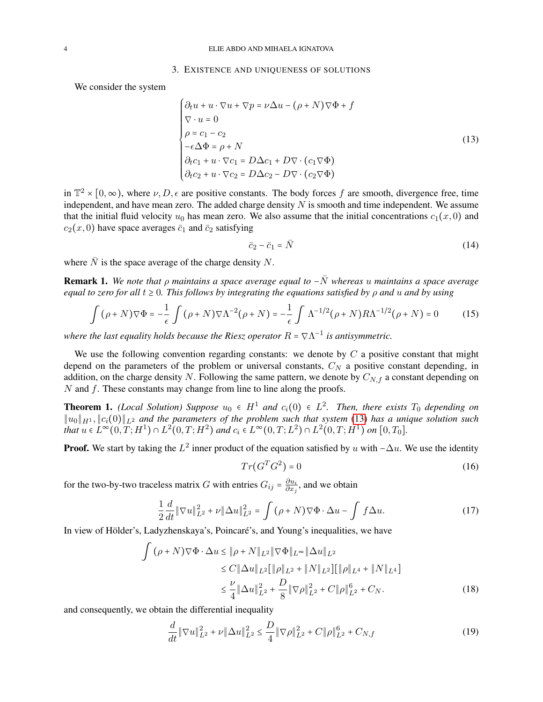#### 3. EXISTENCE AND UNIQUENESS OF SOLUTIONS

<span id="page-3-0"></span>We consider the system

<span id="page-3-1"></span>
$$
\begin{cases}\n\partial_t u + u \cdot \nabla u + \nabla p = \nu \Delta u - (\rho + N) \nabla \Phi + f \\
\nabla \cdot u = 0 \\
\rho = c_1 - c_2 \\
-\epsilon \Delta \Phi = \rho + N \\
\partial_t c_1 + u \cdot \nabla c_1 = D \Delta c_1 + D \nabla \cdot (c_1 \nabla \Phi) \\
\partial_t c_2 + u \cdot \nabla c_2 = D \Delta c_2 - D \nabla \cdot (c_2 \nabla \Phi)\n\end{cases}
$$
\n(13)

in  $\mathbb{T}^2 \times [0,\infty)$ , where  $\nu, D, \epsilon$  are positive constants. The body forces f are smooth, divergence free, time independent, and have mean zero. The added charge density  $N$  is smooth and time independent. We assume that the initial fluid velocity  $u_0$  has mean zero. We also assume that the initial concentrations  $c_1(x, 0)$  and  $c_2(x, 0)$  have space averages  $\bar{c}_1$  and  $\bar{c}_2$  satisfying

$$
\bar{c}_2 - \bar{c}_1 = \bar{N} \tag{14}
$$

where  $\overline{N}$  is the space average of the charge density N.

Remark 1. *We note that* ρ *maintains a space average equal to* −N¯ *whereas* u *maintains a space average equal to zero for all*  $t \geq 0$ *. This follows by integrating the equations satisfied by*  $\rho$  *and u and by using* 

$$
\int (\rho + N)\nabla\Phi = -\frac{1}{\epsilon} \int (\rho + N)\nabla\Lambda^{-2}(\rho + N) = -\frac{1}{\epsilon} \int \Lambda^{-1/2}(\rho + N)R\Lambda^{-1/2}(\rho + N) = 0 \tag{15}
$$

where the last equality holds because the Riesz operator  $R = \nabla \Lambda^{-1}$  is antisymmetric.

We use the following convention regarding constants: we denote by  $C$  a positive constant that might depend on the parameters of the problem or universal constants,  $C<sub>N</sub>$  a positive constant depending, in addition, on the charge density N. Following the same pattern, we denote by  $C_{N,f}$  a constant depending on  $N$  and  $f$ . These constants may change from line to line along the proofs.

<span id="page-3-3"></span>**Theorem 1.** *(Local Solution) Suppose*  $u_0 \in H^1$  and  $c_i(0) \in L^2$ . Then, there exists  $T_0$  depending on ∥u0∥H<sup>1</sup> , ∥ci(0)∥L<sup>2</sup> *and the parameters of the problem such that system* [\(13\)](#page-3-1) *has a unique solution such that*  $u \in L^{\infty}(0,T;H^1) \cap L^2(0,T;H^2)$  *and*  $c_i \in L^{\infty}(0,T;L^2) \cap L^2(0,T;H^1)$  *on* [0,T<sub>0</sub>].

**Proof.** We start by taking the  $L^2$  inner product of the equation satisfied by u with  $-\Delta u$ . We use the identity

$$
Tr(G^T G^2) = 0 \tag{16}
$$

for the two-by-two traceless matrix G with entries  $G_{ij} = \frac{\partial u_i}{\partial x_i}$  $\frac{\partial u_i}{\partial x_j}$ , and we obtain

$$
\frac{1}{2}\frac{d}{dt}\|\nabla u\|_{L^2}^2 + \nu \|\Delta u\|_{L^2}^2 = \int (\rho + N)\nabla \Phi \cdot \Delta u - \int f \Delta u. \tag{17}
$$

In view of Hölder's, Ladyzhenskaya's, Poincaré's, and Young's inequalities, we have

$$
\int (\rho + N)\nabla\Phi \cdot \Delta u \le \|\rho + N\|_{L^2} \|\nabla\Phi\|_{L^\infty} \|\Delta u\|_{L^2}
$$
  
\n
$$
\le C \|\Delta u\|_{L^2} [\|\rho\|_{L^2} + \|N\|_{L^2}] [\|\rho\|_{L^4} + \|N\|_{L^4}]
$$
  
\n
$$
\le \frac{\nu}{4} \|\Delta u\|_{L^2}^2 + \frac{D}{8} \|\nabla \rho\|_{L^2}^2 + C \|\rho\|_{L^2}^6 + C_N. \tag{18}
$$

and consequently, we obtain the differential inequality

<span id="page-3-2"></span>
$$
\frac{d}{dt} \|\nabla u\|_{L^2}^2 + \nu \|\Delta u\|_{L^2}^2 \le \frac{D}{4} \|\nabla \rho\|_{L^2}^2 + C \|\rho\|_{L^2}^6 + C_{N,f}
$$
\n(19)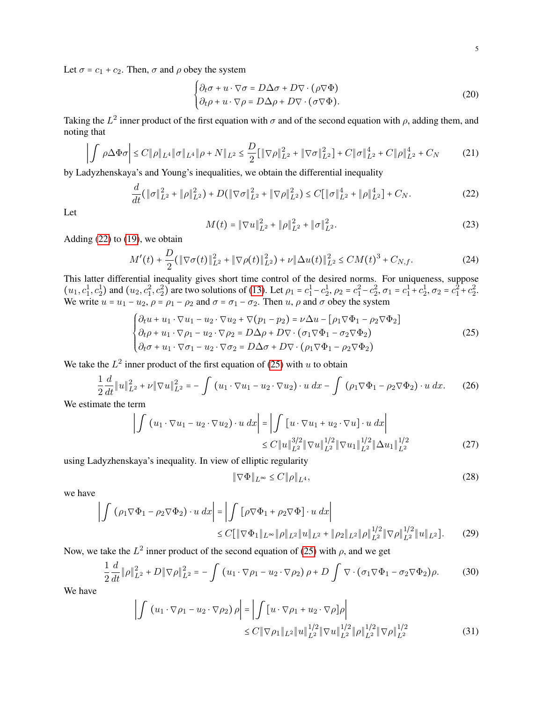Let  $\sigma = c_1 + c_2$ . Then,  $\sigma$  and  $\rho$  obey the system

<span id="page-4-4"></span>
$$
\begin{cases} \partial_t \sigma + u \cdot \nabla \sigma = D \Delta \sigma + D \nabla \cdot (\rho \nabla \Phi) \\ \partial_t \rho + u \cdot \nabla \rho = D \Delta \rho + D \nabla \cdot (\sigma \nabla \Phi). \end{cases}
$$
 (20)

Taking the  $L^2$  inner product of the first equation with  $\sigma$  and of the second equation with  $\rho$ , adding them, and noting that

$$
\left| \int \rho \Delta \Phi \sigma \right| \le C \|\rho\|_{L^4} \|\sigma\|_{L^4} \|\rho + N\|_{L^2} \le \frac{D}{2} \left[ \|\nabla \rho\|_{L^2}^2 + \|\nabla \sigma\|_{L^2}^2 \right] + C \|\sigma\|_{L^2}^4 + C \|\rho\|_{L^2}^4 + C_N \tag{21}
$$

by Ladyzhenskaya's and Young's inequalities, we obtain the differential inequality

<span id="page-4-0"></span>
$$
\frac{d}{dt}(\|\sigma\|_{L^2}^2 + \|\rho\|_{L^2}^2) + D(\|\nabla\sigma\|_{L^2}^2 + \|\nabla\rho\|_{L^2}^2) \le C[\|\sigma\|_{L^2}^4 + \|\rho\|_{L^2}^4] + C_N. \tag{22}
$$

Let

$$
M(t) = \|\nabla u\|_{L^2}^2 + \|\rho\|_{L^2}^2 + \|\sigma\|_{L^2}^2.
$$
 (23)

Adding  $(22)$  to  $(19)$ , we obtain

$$
M'(t) + \frac{D}{2}(\|\nabla\sigma(t)\|_{L^2}^2 + \|\nabla\rho(t)\|_{L^2}^2) + \nu\|\Delta u(t)\|_{L^2}^2 \le CM(t)^3 + C_{N,f}.
$$
 (24)

This latter differential inequality gives short time control of the desired norms. For uniqueness, suppose  $(u_1, c_1^1, c_2^1)$  and  $(u_2, c_1^2, c_2^2)$  are two solutions of [\(13\)](#page-3-1). Let  $\rho_1 = c_1^1 - c_2^1$ ,  $\rho_2 = c_1^2 - c_2^2$ ,  $\sigma_1 = c_1^1 + c_2^1$ ,  $\sigma_2 = c_1^2 + c_2^2$ . We write  $u = u_1 - u_2$ ,  $\rho = \rho_1 - \rho_2$  and  $\sigma = \sigma_1 - \sigma_2$ . Then  $u$ ,  $\rho$  and  $\sigma$  obey the system

<span id="page-4-1"></span>
$$
\begin{cases}\n\partial_t u + u_1 \cdot \nabla u_1 - u_2 \cdot \nabla u_2 + \nabla (p_1 - p_2) = \nu \Delta u - [\rho_1 \nabla \Phi_1 - \rho_2 \nabla \Phi_2] \\
\partial_t \rho + u_1 \cdot \nabla \rho_1 - u_2 \cdot \nabla \rho_2 = D \Delta \rho + D \nabla \cdot (\sigma_1 \nabla \Phi_1 - \sigma_2 \nabla \Phi_2) \\
\partial_t \sigma + u_1 \cdot \nabla \sigma_1 - u_2 \cdot \nabla \sigma_2 = D \Delta \sigma + D \nabla \cdot (\rho_1 \nabla \Phi_1 - \rho_2 \nabla \Phi_2)\n\end{cases}
$$
\n(25)

We take the  $L^2$  inner product of the first equation of [\(25\)](#page-4-1) with u to obtain

<span id="page-4-3"></span>
$$
\frac{1}{2}\frac{d}{dt}\|u\|_{L^{2}}^{2} + \nu \|\nabla u\|_{L^{2}}^{2} = -\int (u_{1} \cdot \nabla u_{1} - u_{2} \cdot \nabla u_{2}) \cdot u \, dx - \int (\rho_{1} \nabla \Phi_{1} - \rho_{2} \nabla \Phi_{2}) \cdot u \, dx. \tag{26}
$$

We estimate the term

$$
\left| \int (u_1 \cdot \nabla u_1 - u_2 \cdot \nabla u_2) \cdot u \, dx \right| = \left| \int [u \cdot \nabla u_1 + u_2 \cdot \nabla u] \cdot u \, dx \right|
$$
  
\n
$$
\leq C \|u\|_{L^2}^{3/2} \|\nabla u\|_{L^2}^{1/2} \|\nabla u_1\|_{L^2}^{1/2} \|\Delta u_1\|_{L^2}^{1/2}
$$
 (27)

using Ladyzhenskaya's inequality. In view of elliptic regularity

<span id="page-4-2"></span>
$$
\|\nabla\Phi\|_{L^{\infty}} \le C\|\rho\|_{L^{4}},\tag{28}
$$

we have

$$
\left| \int \left( \rho_1 \nabla \Phi_1 - \rho_2 \nabla \Phi_2 \right) \cdot u \, dx \right| = \left| \int \left[ \rho \nabla \Phi_1 + \rho_2 \nabla \Phi \right] \cdot u \, dx \right|
$$
  
\n
$$
\leq C \left[ \|\nabla \Phi_1\|_{L^\infty} \|\rho\|_{L^2} \|u\|_{L^2} + \|\rho_2\|_{L^2} \|\rho\|_{L^2}^{1/2} \|\nabla \rho\|_{L^2}^{1/2} \|u\|_{L^2} \right].
$$
 (29)

Now, we take the  $L^2$  inner product of the second equation of [\(25\)](#page-4-1) with  $\rho$ , and we get

$$
\frac{1}{2}\frac{d}{dt}\|\rho\|_{L^2}^2 + D\|\nabla\rho\|_{L^2}^2 = -\int \left(u_1 \cdot \nabla\rho_1 - u_2 \cdot \nabla\rho_2\right)\rho + D\int \nabla \cdot \left(\sigma_1 \nabla \Phi_1 - \sigma_2 \nabla \Phi_2\right)\rho. \tag{30}
$$

We have

$$
\left| \int (u_1 \cdot \nabla \rho_1 - u_2 \cdot \nabla \rho_2) \rho \right| = \left| \int [u \cdot \nabla \rho_1 + u_2 \cdot \nabla \rho] \rho \right|
$$
  
\n
$$
\leq C \|\nabla \rho_1\|_{L^2} \|u\|_{L^2}^{1/2} \|\nabla u\|_{L^2}^{1/2} \|\rho\|_{L^2}^{1/2} \|\nabla \rho\|_{L^2}^{1/2}
$$
\n(31)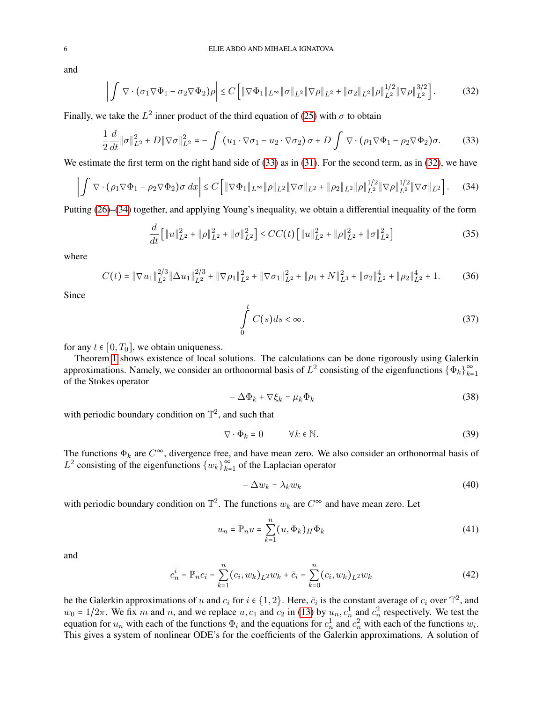$$
\left| \int \nabla \cdot (\sigma_1 \nabla \Phi_1 - \sigma_2 \nabla \Phi_2) \rho \right| \le C \left[ \|\nabla \Phi_1\|_{L^\infty} \|\sigma\|_{L^2} \|\nabla \rho\|_{L^2} + \|\sigma_2\|_{L^2} \|\rho\|_{L^2}^{1/2} \|\nabla \rho\|_{L^2}^{3/2} \right].
$$
 (32)

Finally, we take the  $L^2$  inner product of the third equation of [\(25\)](#page-4-1) with  $\sigma$  to obtain

<span id="page-5-0"></span>
$$
\frac{1}{2}\frac{d}{dt}\|\sigma\|_{L^2}^2 + D\|\nabla\sigma\|_{L^2}^2 = -\int (u_1 \cdot \nabla \sigma_1 - u_2 \cdot \nabla \sigma_2) \sigma + D \int \nabla \cdot (\rho_1 \nabla \Phi_1 - \rho_2 \nabla \Phi_2) \sigma. \tag{33}
$$

We estimate the first term on the right hand side of [\(33\)](#page-5-0) as in [\(31\)](#page-4-2). For the second term, as in [\(32\)](#page-5-1), we have

$$
\left| \int \nabla \cdot (\rho_1 \nabla \Phi_1 - \rho_2 \nabla \Phi_2) \sigma \, dx \right| \le C \left[ \|\nabla \Phi_1\|_{L^\infty} \|\rho\|_{L^2} \|\nabla \sigma\|_{L^2} + \|\rho_2\|_{L^2} \|\rho\|_{L^2}^{1/2} \|\nabla \rho\|_{L^2}^{1/2} \|\nabla \sigma\|_{L^2} \right]. \tag{34}
$$

Putting [\(26\)](#page-4-3)–[\(34\)](#page-5-2) together, and applying Young's inequality, we obtain a differential inequality of the form

$$
\frac{d}{dt} \left[ \|u\|_{L^2}^2 + \|\rho\|_{L^2}^2 + \|\sigma\|_{L^2}^2 \right] \le CC(t) \left[ \|u\|_{L^2}^2 + \|\rho\|_{L^2}^2 + \|\sigma\|_{L^2}^2 \right] \tag{35}
$$

where

$$
C(t) = \|\nabla u_1\|_{L^2}^{2/3} \|\Delta u_1\|_{L^2}^{2/3} + \|\nabla \rho_1\|_{L^2}^2 + \|\nabla \sigma_1\|_{L^2}^2 + \|\rho_1 + N\|_{L^3}^2 + \|\sigma_2\|_{L^2}^4 + \|\rho_2\|_{L^2}^4 + 1. \tag{36}
$$

Since

<span id="page-5-2"></span><span id="page-5-1"></span>
$$
\int_{0}^{t} C(s)ds < \infty. \tag{37}
$$

for any  $t \in [0, T_0]$ , we obtain uniqueness.

Theorem [1](#page-3-3) shows existence of local solutions. The calculations can be done rigorously using Galerkin approximations. Namely, we consider an orthonormal basis of  $L^2$  consisting of the eigenfunctions  $\{\Phi_k\}_{k=1}^{\infty}$  $k=1$ of the Stokes operator

$$
-\Delta\Phi_k + \nabla\xi_k = \mu_k\Phi_k\tag{38}
$$

with periodic boundary condition on  $\mathbb{T}^2$ , and such that

$$
\nabla \cdot \Phi_k = 0 \qquad \forall k \in \mathbb{N}.
$$
 (39)

The functions  $\Phi_k$  are  $C^{\infty}$ , divergence free, and have mean zero. We also consider an orthonormal basis of  $L^2$  consisting of the eigenfunctions  ${w_k}_{k=1}^{\infty}$  $\sum_{k=1}^{\infty}$  of the Laplacian operator

$$
-\Delta w_k = \lambda_k w_k \tag{40}
$$

with periodic boundary condition on  $\mathbb{T}^2$ . The functions  $w_k$  are  $C^{\infty}$  and have mean zero. Let

$$
u_n = \mathbb{P}_n u = \sum_{k=1}^n (u, \Phi_k)_H \Phi_k \tag{41}
$$

and

$$
c_n^i = \mathbb{P}_n c_i = \sum_{k=1}^n (c_i, w_k)_{L^2} w_k + \bar{c}_i = \sum_{k=0}^n (c_i, w_k)_{L^2} w_k
$$
 (42)

be the Galerkin approximations of u and  $c_i$  for  $i \in \{1, 2\}$ . Here,  $\bar{c}_i$  is the constant average of  $c_i$  over  $\mathbb{T}^2$ , and  $w_0 = 1/2\pi$ . We fix m and n, and we replace  $u, c_1$  and  $c_2$  in [\(13\)](#page-3-1) by  $u_n, c_n^1$  and  $c_n^2$  respectively. We test the equation for  $u_n$  with each of the functions  $\Phi_i$  and the equations for  $c_n^1$  and  $c_n^2$  with each of the functions  $w_i$ . This gives a system of nonlinear ODE's for the coefficients of the Galerkin approximations. A solution of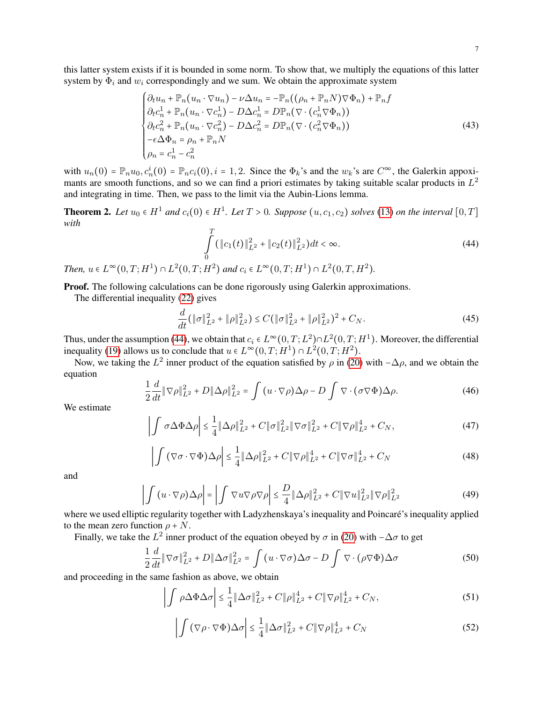7

this latter system exists if it is bounded in some norm. To show that, we multiply the equations of this latter system by  $\Phi_i$  and  $w_i$  correspondingly and we sum. We obtain the approximate system

$$
\begin{cases}\n\partial_t u_n + \mathbb{P}_n(u_n \cdot \nabla u_n) - \nu \Delta u_n = -\mathbb{P}_n((\rho_n + \mathbb{P}_n N) \nabla \Phi_n) + \mathbb{P}_n f \\
\partial_t c_n^1 + \mathbb{P}_n(u_n \cdot \nabla c_n^1) - D \Delta c_n^1 = D \mathbb{P}_n(\nabla \cdot (c_n^1 \nabla \Phi_n)) \\
\partial_t c_n^2 + \mathbb{P}_n(u_n \cdot \nabla c_n^2) - D \Delta c_n^2 = D \mathbb{P}_n(\nabla \cdot (c_n^2 \nabla \Phi_n)) \\
-\epsilon \Delta \Phi_n = \rho_n + \mathbb{P}_n N \\
\rho_n = c_n^1 - c_n^2\n\end{cases}
$$
\n(43)

with  $u_n(0) = \mathbb{P}_n u_0$ ,  $c_n^i(0) = \mathbb{P}_n c_i(0)$ ,  $i = 1, 2$ . Since the  $\Phi_k$ 's and the  $w_k$ 's are  $C^{\infty}$ , the Galerkin appoximants are smooth functions, and so we can find a priori estimates by taking suitable scalar products in  $L^2$ and integrating in time. Then, we pass to the limit via the Aubin-Lions lemma.

<span id="page-6-2"></span>**Theorem 2.** Let  $u_0 \in H^1$  and  $c_i(0) \in H^1$ . Let  $T > 0$ . Suppose  $(u, c_1, c_2)$  solves [\(13\)](#page-3-1) on the interval  $[0, T]$ *with*

<span id="page-6-0"></span>
$$
\int_{0}^{T} (\|c_1(t)\|_{L^2}^2 + \|c_2(t)\|_{L^2}^2) dt < \infty.
$$
\n(44)

*Then,*  $u \in L^{\infty}(0,T;H^1) \cap L^2(0,T;H^2)$  and  $c_i \in L^{\infty}(0,T;H^1) \cap L^2(0,T,H^2)$ .

**Proof.** The following calculations can be done rigorously using Galerkin approximations.

The differential inequality [\(22\)](#page-4-0) gives

$$
\frac{d}{dt}(\|\sigma\|_{L^2}^2 + \|\rho\|_{L^2}^2) \le C(\|\sigma\|_{L^2}^2 + \|\rho\|_{L^2}^2)^2 + C_N. \tag{45}
$$

Thus, under the assumption [\(44\)](#page-6-0), we obtain that  $c_i \in L^{\infty}(0,T; L^2) \cap L^2(0,T; H^1)$ . Moreover, the differential inequality [\(19\)](#page-3-2) allows us to conclude that  $u \in L^{\infty}(0,T;H^1) \cap L^2(0,T;H^2)$ .

Now, we taking the  $L^2$  inner product of the equation satisfied by  $\rho$  in [\(20\)](#page-4-4) with  $-\Delta\rho$ , and we obtain the equation

<span id="page-6-1"></span>
$$
\frac{1}{2}\frac{d}{dt}\|\nabla\rho\|_{L^2}^2 + D\|\Delta\rho\|_{L^2}^2 = \int (u \cdot \nabla\rho)\Delta\rho - D\int \nabla \cdot (\sigma \nabla\Phi)\Delta\rho. \tag{46}
$$

We estimate

$$
\left| \int \sigma \Delta \Phi \Delta \rho \right| \leq \frac{1}{4} \| \Delta \rho \|_{L^2}^2 + C \| \sigma \|_{L^2}^2 \| \nabla \sigma \|_{L^2}^2 + C \| \nabla \rho \|_{L^2}^4 + C_N,
$$
\n(47)

$$
\left| \int \left( \nabla \sigma \cdot \nabla \Phi \right) \Delta \rho \right| \leq \frac{1}{4} \left\| \Delta \rho \right\|_{L^2}^2 + C \left\| \nabla \rho \right\|_{L^2}^4 + C \left\| \nabla \sigma \right\|_{L^2}^4 + C_N \tag{48}
$$

and

$$
\left| \int (u \cdot \nabla \rho) \Delta \rho \right| = \left| \int \nabla u \nabla \rho \nabla \rho \right| \leq \frac{D}{4} \|\Delta \rho\|_{L^2}^2 + C \|\nabla u\|_{L^2}^2 \|\nabla \rho\|_{L^2}^2 \tag{49}
$$

where we used elliptic regularity together with Ladyzhenskaya's inequality and Poincaré's inequality applied to the mean zero function  $\rho + N$ .

Finally, we take the  $L^2$  inner product of the equation obeyed by  $\sigma$  in [\(20\)](#page-4-4) with  $-\Delta\sigma$  to get

$$
\frac{1}{2}\frac{d}{dt}\|\nabla\sigma\|_{L^2}^2 + D\|\Delta\sigma\|_{L^2}^2 = \int (u \cdot \nabla\sigma)\Delta\sigma - D\int \nabla \cdot (\rho \nabla\Phi)\Delta\sigma \tag{50}
$$

and proceeding in the same fashion as above, we obtain

$$
\left| \int \rho \Delta \Phi \Delta \sigma \right| \le \frac{1}{4} \| \Delta \sigma \|_{L^2}^2 + C \| \rho \|_{L^2}^4 + C \| \nabla \rho \|_{L^2}^4 + C_N,
$$
\n(51)

$$
\left| \int (\nabla \rho \cdot \nabla \Phi) \Delta \sigma \right| \leq \frac{1}{4} \|\Delta \sigma\|_{L^2}^2 + C \|\nabla \rho\|_{L^2}^4 + C_N \tag{52}
$$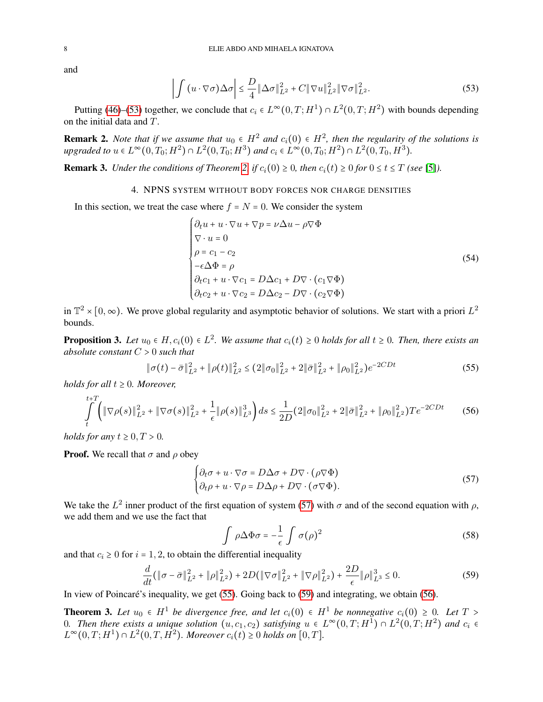<span id="page-7-1"></span>
$$
\left| \int (u \cdot \nabla \sigma) \Delta \sigma \right| \leq \frac{D}{4} \|\Delta \sigma\|_{L^2}^2 + C \|\nabla u\|_{L^2}^2 \|\nabla \sigma\|_{L^2}^2.
$$
 (53)

Putting [\(46\)](#page-6-1)–[\(53\)](#page-7-1) together, we conclude that  $c_i \in L^{\infty}(0,T;H^1) \cap L^2(0,T;H^2)$  with bounds depending on the initial data and T.

**Remark 2.** Note that if we assume that  $u_0 \in H^2$  and  $c_i(0) \in H^2$ , then the regularity of the solutions is *upgraded to*  $u \in L^{\infty}(0, T_0; H^2) \cap L^2(0, T_0; H^3)$  *and*  $c_i \in L^{\infty}(0, T_0; H^2) \cap L^2(0, T_0, H^3)$ .

<span id="page-7-6"></span><span id="page-7-0"></span>**Remark 3.** *Under the conditions of Theorem [2,](#page-6-2) if*  $c_i(0) \geq 0$ *, then*  $c_i(t) \geq 0$  *for*  $0 \leq t \leq T$  *(see* [\[5\]](#page-25-5)*).* 

# 4. NPNS SYSTEM WITHOUT BODY FORCES NOR CHARGE DENSITIES

In this section, we treat the case where  $f = N = 0$ . We consider the system

<span id="page-7-8"></span>
$$
\begin{cases}\n\partial_t u + u \cdot \nabla u + \nabla p = \nu \Delta u - \rho \nabla \Phi \\
\nabla \cdot u = 0 \\
\rho = c_1 - c_2 \\
-\epsilon \Delta \Phi = \rho \\
\partial_t c_1 + u \cdot \nabla c_1 = D \Delta c_1 + D \nabla \cdot (c_1 \nabla \Phi) \\
\partial_t c_2 + u \cdot \nabla c_2 = D \Delta c_2 - D \nabla \cdot (c_2 \nabla \Phi)\n\end{cases}
$$
\n(54)

in  $\mathbb{T}^2 \times [0,\infty)$ . We prove global regularity and asymptotic behavior of solutions. We start with a priori  $L^2$ bounds.

<span id="page-7-7"></span>**Proposition 3.** Let  $u_0 \in H$ ,  $c_i(0) \in L^2$ . We assume that  $c_i(t) \geq 0$  holds for all  $t \geq 0$ . Then, there exists an *absolute constant* C > 0 *such that*

<span id="page-7-3"></span>
$$
\|\sigma(t) - \bar{\sigma}\|_{L^2}^2 + \|\rho(t)\|_{L^2}^2 \le (2\|\sigma_0\|_{L^2}^2 + 2\|\bar{\sigma}\|_{L^2}^2 + \|\rho_0\|_{L^2}^2)e^{-2CDt}
$$
\n(55)

*holds for all*  $t \geq 0$ *. Moreover,* 

 $\overline{t}$ 

<span id="page-7-5"></span>
$$
\int_{t}^{t+1} \left( \|\nabla \rho(s)\|_{L^{2}}^{2} + \|\nabla \sigma(s)\|_{L^{2}}^{2} + \frac{1}{\epsilon} \|\rho(s)\|_{L^{3}}^{3} \right) ds \le \frac{1}{2D} (2\|\sigma_{0}\|_{L^{2}}^{2} + 2\|\bar{\sigma}\|_{L^{2}}^{2} + \|\rho_{0}\|_{L^{2}}^{2}) T e^{-2CDt}
$$
(56)

*holds for any*  $t \geq 0, T > 0$ .

**Proof.** We recall that  $\sigma$  and  $\rho$  obey

<span id="page-7-2"></span>
$$
\begin{cases} \partial_t \sigma + u \cdot \nabla \sigma = D \Delta \sigma + D \nabla \cdot (\rho \nabla \Phi) \\ \partial_t \rho + u \cdot \nabla \rho = D \Delta \rho + D \nabla \cdot (\sigma \nabla \Phi). \end{cases}
$$
(57)

We take the  $L^2$  inner product of the first equation of system [\(57\)](#page-7-2) with  $\sigma$  and of the second equation with  $\rho$ , we add them and we use the fact that

$$
\int \rho \Delta \Phi \sigma = -\frac{1}{\epsilon} \int \sigma(\rho)^2 \tag{58}
$$

and that  $c_i \geq 0$  for  $i = 1, 2$ , to obtain the differential inequality

<span id="page-7-4"></span>
$$
\frac{d}{dt}(\|\sigma - \bar{\sigma}\|_{L^2}^2 + \|\rho\|_{L^2}^2) + 2D(\|\nabla \sigma\|_{L^2}^2 + \|\nabla \rho\|_{L^2}^2) + \frac{2D}{\epsilon}\|\rho\|_{L^3}^3 \le 0.
$$
\n(59)

In view of Poincaré's inequality, we get [\(55\)](#page-7-3). Going back to [\(59\)](#page-7-4) and integrating, we obtain [\(56\)](#page-7-5).

<span id="page-7-9"></span>**Theorem 3.** Let  $u_0 \in H^1$  be divergence free, and let  $c_i(0) \in H^1$  be nonnegative  $c_i(0) \geq 0$ . Let  $T >$ 0. Then there exists a unique solution  $(u, c_1, c_2)$  satisfying  $u \in L^{\infty}(0,T; H^1) \cap L^2(0,T; H^2)$  and  $c_i \in$  $L^{\infty}(0,T; H^{1}) \cap L^{2}(0,T,H^{2})$ . Moreover  $c_i(t) ≥ 0$  holds on  $[0,T]$ .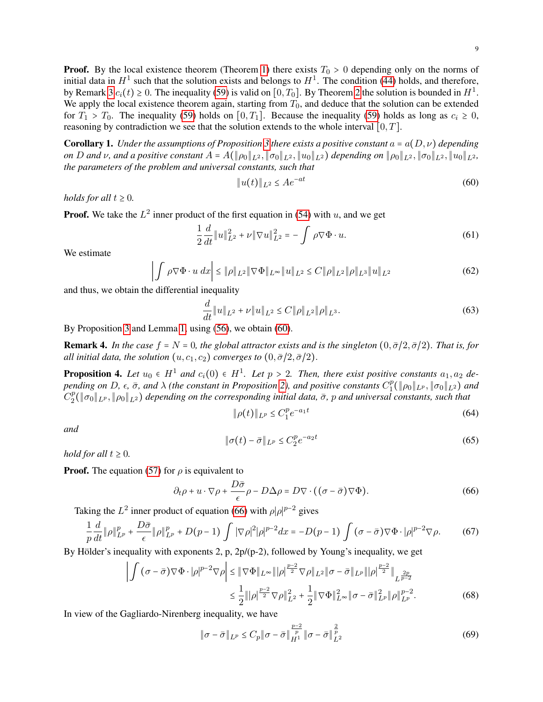**Proof.** By the local existence theorem (Theorem [1\)](#page-3-3) there exists  $T_0 > 0$  depending only on the norms of initial data in  $H^1$  such that the solution exists and belongs to  $H^1$ . The condition [\(44\)](#page-6-0) holds, and therefore, by Remark [3](#page-7-6)  $c_i(t) \ge 0$ . The inequality [\(59\)](#page-7-4) is valid on  $[0, T_0]$ . By Theorem [2](#page-6-2) the solution is bounded in  $H^1$ . We apply the local existence theorem again, starting from  $T_0$ , and deduce that the solution can be extended for  $T_1 > T_0$ . The inequality [\(59\)](#page-7-4) holds on [0, T<sub>1</sub>]. Because the inequality (59) holds as long as  $c_i \ge 0$ , reasoning by contradiction we see that the solution extends to the whole interval  $[0, T]$ .

**Corollary 1.** *Under the assumptions of Proposition* [3](#page-7-7) *there exists a positive constant*  $a = a(D, \nu)$  *depending on* D and v, and a positive constant  $A = A(\|\rho_0\|_{L^2}, \|\sigma_0\|_{L^2}, \|u_0\|_{L^2})$  depending on  $\|\rho_0\|_{L^2}, \|\sigma_0\|_{L^2}, \|u_0\|_{L^2}$ , *the parameters of the problem and universal constants, such that*

<span id="page-8-0"></span>
$$
||u(t)||_{L^2} \le Ae^{-at} \tag{60}
$$

*holds for all*  $t \geq 0$ *.* 

**Proof.** We take the  $L^2$  inner product of the first equation in [\(54\)](#page-7-8) with u, and we get

$$
\frac{1}{2}\frac{d}{dt}\|u\|_{L^{2}}^{2} + \nu \|\nabla u\|_{L^{2}}^{2} = -\int \rho \nabla \Phi \cdot u.
$$
\n(61)

We estimate

$$
\left| \int \rho \nabla \Phi \cdot u \, dx \right| \le \|\rho\|_{L^2} \|\nabla \Phi\|_{L^\infty} \|u\|_{L^2} \le C \|\rho\|_{L^2} \|\rho\|_{L^3} \|u\|_{L^2}
$$
\n(62)

and thus, we obtain the differential inequality

$$
\frac{d}{dt} \|u\|_{L^2} + \nu \|u\|_{L^2} \le C \|\rho\|_{L^2} \|\rho\|_{L^3}.
$$
\n(63)

By Proposition [3](#page-7-7) and Lemma [1,](#page-2-1) using [\(56\)](#page-7-5), we obtain [\(60\)](#page-8-0).

**Remark 4.** In the case  $f = N = 0$ , the global attractor exists and is the singleton  $(0, \bar{\sigma}/2, \bar{\sigma}/2)$ . That is, for *all initial data, the solution*  $(u, c_1, c_2)$  *converges to*  $(0, \bar{\sigma}/2, \bar{\sigma}/2)$ *.* 

<span id="page-8-4"></span>**Proposition 4.** Let  $u_0 \in H^1$  and  $c_i(0) \in H^1$ . Let  $p > 2$ . Then, there exist positive constants  $a_1, a_2$  de*pending on D,*  $\epsilon$ *,*  $\bar{\sigma}$ *, and*  $\lambda$  *(the constant in Proposition [2\)](#page-2-2), and positive constants*  $C_1^p$  $\frac{d^p}{1}(\|\rho_0\|_{L^p}, \|\sigma_0\|_{L^2})$  and  $C_2^p$  $\frac{p}{2}(\|\sigma_0\|_{L^p},\|\rho_0\|_{L^2})$  depending on the corresponding initial data,  $\bar{\sigma}$ ,  $p$  and universal constants, such that

<span id="page-8-2"></span>
$$
\|\rho(t)\|_{L^p} \le C_1^p e^{-a_1 t} \tag{64}
$$

*and*

<span id="page-8-3"></span>
$$
\|\sigma(t) - \bar{\sigma}\|_{L^p} \le C_2^p e^{-a_2 t} \tag{65}
$$

*hold for all*  $t \geq 0$ *.* 

**Proof.** The equation [\(57\)](#page-7-2) for  $\rho$  is equivalent to

<span id="page-8-1"></span>
$$
\partial_t \rho + u \cdot \nabla \rho + \frac{D\bar{\sigma}}{\epsilon} \rho - D\Delta \rho = D \nabla \cdot ((\sigma - \bar{\sigma}) \nabla \Phi). \tag{66}
$$

Taking the  $L^2$  inner product of equation [\(66\)](#page-8-1) with  $\rho |\rho|^{p-2}$  gives

$$
\frac{1}{p}\frac{d}{dt}\|\rho\|_{L^p}^p + \frac{D\bar{\sigma}}{\epsilon}\|\rho\|_{L^p}^p + D(p-1)\int |\nabla \rho|^2|\rho|^{p-2}dx = -D(p-1)\int (\sigma - \bar{\sigma})\nabla\Phi \cdot |\rho|^{p-2}\nabla\rho. \tag{67}
$$

By Hölder's inequality with exponents 2, p,  $2p/(p-2)$ , followed by Young's inequality, we get

$$
\left| \int (\sigma - \bar{\sigma}) \nabla \Phi \cdot |\rho|^{p-2} \nabla \rho \right| \leq \|\nabla \Phi\|_{L^{\infty}} \|\rho\|_{2}^{p-2} \nabla \rho\|_{L^{2}} \|\sigma - \bar{\sigma}\|_{L^{p}} \|\rho\|_{2}^{p-2} \|\frac{2p}{L^{p-2}}\|_{L^{\frac{2p}{p-2}}} \leq \frac{1}{2} \|\rho\|_{2}^{p-2} \nabla \rho\|_{L^{2}}^{2} + \frac{1}{2} \|\nabla \Phi\|_{L^{\infty}}^{2} \|\sigma - \bar{\sigma}\|_{L^{p}}^{2} \|\rho\|_{L^{p}}^{p-2}.
$$
\n(68)

In view of the Gagliardo-Nirenberg inequality, we have

$$
\|\sigma - \bar{\sigma}\|_{L^p} \le C_p \|\sigma - \bar{\sigma}\|_{H^1}^{\frac{p-2}{p}} \|\sigma - \bar{\sigma}\|_{L^2}^{\frac{2}{p}} \tag{69}
$$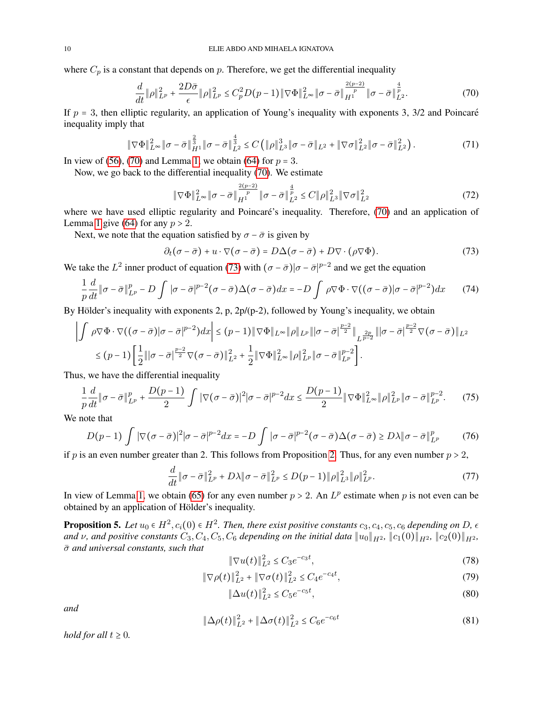where  $C_p$  is a constant that depends on p. Therefore, we get the differential inequality

<span id="page-9-0"></span>
$$
\frac{d}{dt} \|\rho\|_{L^p}^2 + \frac{2D\bar{\sigma}}{\epsilon} \|\rho\|_{L^p}^2 \le C_p^2 D(p-1) \|\nabla \Phi\|_{L^\infty}^2 \|\sigma - \bar{\sigma}\|_{H^1}^{\frac{2(p-2)}{p}} \|\sigma - \bar{\sigma}\|_{L^2}^{\frac{4}{p}}.
$$
\n(70)

If  $p = 3$ , then elliptic regularity, an application of Young's inequality with exponents 3, 3/2 and Poincaré inequality imply that

$$
\|\nabla\Phi\|_{L^{\infty}}^2 \|\sigma - \bar{\sigma}\|_{H^1}^{\frac{2}{3}} \|\sigma - \bar{\sigma}\|_{L^2}^{\frac{4}{3}} \leq C \left( \|\rho\|_{L^3}^3 \|\sigma - \bar{\sigma}\|_{L^2} + \|\nabla\sigma\|_{L^2}^2 \|\sigma - \bar{\sigma}\|_{L^2}^2 \right). \tag{71}
$$

In view of [\(56\)](#page-7-5), [\(70\)](#page-9-0) and Lemma [1,](#page-2-1) we obtain [\(64\)](#page-8-2) for  $p = 3$ .

Now, we go back to the differential inequality [\(70\)](#page-9-0). We estimate

$$
\|\nabla\Phi\|_{L^{\infty}}^2 \|\sigma - \bar{\sigma}\|_{H^1}^{\frac{2(p-2)}{p}} \|\sigma - \bar{\sigma}\|_{L^2}^{\frac{4}{p}} \le C \|\rho\|_{L^3}^2 \|\nabla\sigma\|_{L^2}^2 \tag{72}
$$

where we have used elliptic regularity and Poincaré's inequality. Therefore, [\(70\)](#page-9-0) and an application of Lemma [1](#page-2-1) give [\(64\)](#page-8-2) for any  $p > 2$ .

Next, we note that the equation satisfied by  $\sigma - \bar{\sigma}$  is given by

<span id="page-9-1"></span>
$$
\partial_t(\sigma - \bar{\sigma}) + u \cdot \nabla(\sigma - \bar{\sigma}) = D\Delta(\sigma - \bar{\sigma}) + D\nabla \cdot (\rho \nabla \Phi). \tag{73}
$$

We take the  $L^2$  inner product of equation [\(73\)](#page-9-1) with  $(\sigma - \bar{\sigma})|\sigma - \bar{\sigma}|^{p-2}$  and we get the equation

$$
\frac{1}{p}\frac{d}{dt}\|\sigma - \bar{\sigma}\|_{L^p}^p - D \int |\sigma - \bar{\sigma}|^{p-2}(\sigma - \bar{\sigma})\Delta(\sigma - \bar{\sigma})dx = -D \int \rho \nabla \Phi \cdot \nabla ((\sigma - \bar{\sigma})|\sigma - \bar{\sigma}|^{p-2})dx \tag{74}
$$

By Hölder's inequality with exponents 2, p,  $2p/(p-2)$ , followed by Young's inequality, we obtain

$$
\left|\int \rho \nabla \Phi \cdot \nabla \big( (\sigma - \bar{\sigma}) |\sigma - \bar{\sigma}|^{p-2} \big) dx \right| \leq (p-1) \|\nabla \Phi\|_{L^{\infty}} \|\rho\|_{L^p} \|\sigma - \bar{\sigma}|^{\frac{p-2}{2}} \|\frac{2p}{L^{\frac{2p}{p-2}}} \|\sigma - \bar{\sigma}|^{\frac{p-2}{2}} \nabla (\sigma - \bar{\sigma})\|_{L^2}
$$
  

$$
\leq (p-1) \left[ \frac{1}{2} \|\sigma - \bar{\sigma}|^{\frac{p-2}{2}} \nabla (\sigma - \bar{\sigma})\|_{L^2}^2 + \frac{1}{2} \|\nabla \Phi\|_{L^{\infty}}^2 \|\rho\|_{L^p}^2 \|\sigma - \bar{\sigma}\|_{L^p}^{p-2} \right].
$$

Thus, we have the differential inequality

$$
\frac{1}{p}\frac{d}{dt}\|\sigma - \bar{\sigma}\|_{L^p}^p + \frac{D(p-1)}{2}\int |\nabla(\sigma - \bar{\sigma})|^2|\sigma - \bar{\sigma}|^{p-2}dx \le \frac{D(p-1)}{2}\|\nabla\Phi\|_{L^\infty}^2 \|\rho\|_{L^p}^2 \|\sigma - \bar{\sigma}\|_{L^p}^{p-2}.\tag{75}
$$

We note that

$$
D(p-1)\int |\nabla(\sigma-\bar{\sigma})|^2|\sigma-\bar{\sigma}|^{p-2}dx = -D\int |\sigma-\bar{\sigma}|^{p-2}(\sigma-\bar{\sigma})\Delta(\sigma-\bar{\sigma}) \geq D\lambda \|\sigma-\bar{\sigma}\|_{L^p}^p \tag{76}
$$

if p is an even number greater than [2.](#page-2-2) This follows from Proposition 2. Thus, for any even number  $p > 2$ ,

$$
\frac{d}{dt} \|\sigma - \bar{\sigma}\|_{L^p}^2 + D\lambda \|\sigma - \bar{\sigma}\|_{L^p}^2 \le D(p-1) \|\rho\|_{L^3}^2 \|\rho\|_{L^p}^2. \tag{77}
$$

In view of Lemma [1,](#page-2-1) we obtain [\(65\)](#page-8-3) for any even number  $p > 2$ . An  $L^p$  estimate when p is not even can be obtained by an application of Hölder's inequality.

<span id="page-9-6"></span>**Proposition 5.** Let  $u_0 \in H^2$ ,  $c_i(0) \in H^2$ . Then, there exist positive constants  $c_3$ ,  $c_4$ ,  $c_5$ ,  $c_6$  depending on D,  $\epsilon$ *and*  $\nu$ , and positive constants  $C_3, C_4, C_5, C_6$  depending on the initial data  $\|u_0\|_{H^2}$ ,  $\|c_1(0)\|_{H^2}$ ,  $\|c_2(0)\|_{H^2}$ , σ¯ *and universal constants, such that*

<span id="page-9-2"></span>
$$
\|\nabla u(t)\|_{L^2}^2 \le C_3 e^{-c_3 t},\tag{78}
$$

<span id="page-9-3"></span>
$$
\|\nabla \rho(t)\|_{L^2}^2 + \|\nabla \sigma(t)\|_{L^2}^2 \le C_4 e^{-c_4 t},\tag{79}
$$

<span id="page-9-4"></span>
$$
\|\Delta u(t)\|_{L^2}^2 \le C_5 e^{-c_5 t},\tag{80}
$$

*and*

<span id="page-9-5"></span>
$$
\|\Delta \rho(t)\|_{L^2}^2 + \|\Delta \sigma(t)\|_{L^2}^2 \le C_6 e^{-c_6 t} \tag{81}
$$

*hold for all*  $t \geq 0$ *.*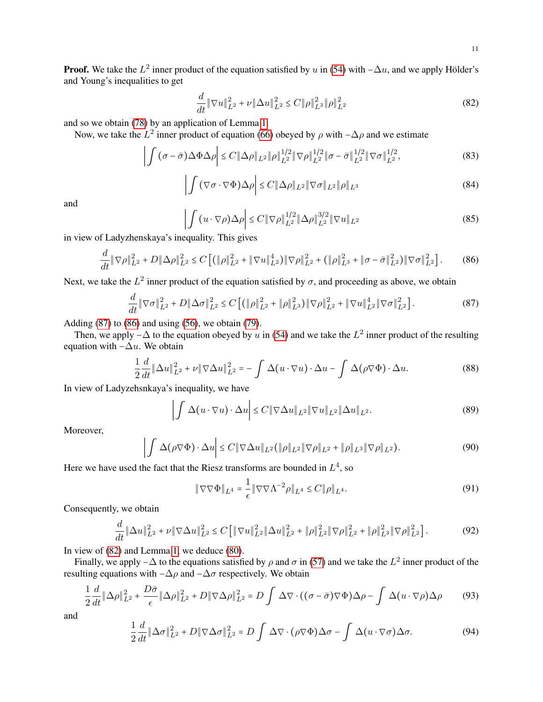**Proof.** We take the  $L^2$  inner product of the equation satisfied by u in [\(54\)](#page-7-8) with  $-\Delta u$ , and we apply Hölder's and Young's inequalities to get

<span id="page-10-2"></span>
$$
\frac{d}{dt} \|\nabla u\|_{L^2}^2 + \nu \|\Delta u\|_{L^2}^2 \le C \|\rho\|_{L^3}^2 \|\rho\|_{L^2}^2 \tag{82}
$$

and so we obtain [\(78\)](#page-9-2) by an application of Lemma [1.](#page-2-1)

Now, we take the  $L^2$  inner product of equation [\(66\)](#page-8-1) obeyed by  $\rho$  with  $-\Delta\rho$  and we estimate

$$
\left| \int (\sigma - \bar{\sigma}) \Delta \Phi \Delta \rho \right| \le C \|\Delta \rho\|_{L^2} \|\rho\|_{L^2}^{1/2} \|\nabla \rho\|_{L^2}^{1/2} \|\sigma - \bar{\sigma}\|_{L^2}^{1/2} \|\nabla \sigma\|_{L^2}^{1/2},\tag{83}
$$

$$
\left| \int (\nabla \sigma \cdot \nabla \Phi) \Delta \rho \right| \le C \|\Delta \rho\|_{L^2} \|\nabla \sigma\|_{L^2} \|\rho\|_{L^3}
$$
\n(84)

and

$$
\left| \int \left( u \cdot \nabla \rho \right) \Delta \rho \right| \le C \|\nabla \rho\|_{L^2}^{1/2} \|\Delta \rho\|_{L^2}^{3/2} \|\nabla u\|_{L^2}
$$
\n(85)

in view of Ladyzhenskaya's inequality. This gives

<span id="page-10-1"></span>
$$
\frac{d}{dt} \|\nabla \rho\|_{L^2}^2 + D \|\Delta \rho\|_{L^2}^2 \le C \left[ \left( \|\rho\|_{L^2}^2 + \|\nabla u\|_{L^2}^4 \right) \|\nabla \rho\|_{L^2}^2 + \left( \|\rho\|_{L^3}^2 + \|\sigma - \bar{\sigma}\|_{L^2}^2 \right) \|\nabla \sigma\|_{L^2}^2 \right].
$$
 (86)

Next, we take the  $L^2$  inner product of the equation satisfied by  $\sigma$ , and proceeding as above, we obtain

<span id="page-10-0"></span>
$$
\frac{d}{dt} \|\nabla \sigma\|_{L^2}^2 + D \|\Delta \sigma\|_{L^2}^2 \le C \left[ \left( \|\rho\|_{L^2}^2 + \|\rho\|_{L^3}^2 \right) \|\nabla \rho\|_{L^2}^2 + \|\nabla u\|_{L^2}^4 \|\nabla \sigma\|_{L^2}^2 \right].
$$
\n(87)

Adding  $(87)$  to  $(86)$  and using  $(56)$ , we obtain  $(79)$ .

Then, we apply  $-\Delta$  to the equation obeyed by u in [\(54\)](#page-7-8) and we take the  $L^2$  inner product of the resulting equation with  $-\Delta u$ . We obtain

$$
\frac{1}{2}\frac{d}{dt}\|\Delta u\|_{L^2}^2 + \nu \|\nabla \Delta u\|_{L^2}^2 = -\int \Delta(u \cdot \nabla u) \cdot \Delta u - \int \Delta(\rho \nabla \Phi) \cdot \Delta u. \tag{88}
$$

In view of Ladyzehsnkaya's inequality, we have

$$
\left| \int \Delta(u \cdot \nabla u) \cdot \Delta u \right| \le C \|\nabla \Delta u\|_{L^2} \|\nabla u\|_{L^2} \|\Delta u\|_{L^2}.
$$
\n(89)

Moreover,

$$
\left| \int \Delta(\rho \nabla \Phi) \cdot \Delta u \right| \le C \|\nabla \Delta u\|_{L^2} (\|\rho\|_{L^2} \|\nabla \rho\|_{L^2} + \|\rho\|_{L^3} \|\nabla \rho\|_{L^2}). \tag{90}
$$

Here we have used the fact that the Riesz transforms are bounded in  $L^4$ , so

 $\overline{1}$ 

$$
\|\nabla\nabla\Phi\|_{L^4} = \frac{1}{\epsilon} \|\nabla\nabla\Lambda^{-2}\rho\|_{L^4} \le C \|\rho\|_{L^4}.
$$
\n(91)

Consequently, we obtain

$$
\frac{d}{dt} \|\Delta u\|_{L^2}^2 + \nu \|\nabla \Delta u\|_{L^2}^2 \le C \left[ \|\nabla u\|_{L^2}^2 \|\Delta u\|_{L^2}^2 + \|\rho\|_{L^2}^2 \|\nabla \rho\|_{L^2}^2 + \|\rho\|_{L^3}^2 \|\nabla \rho\|_{L^2}^2 \right].
$$
\n(92)

In view of [\(82\)](#page-10-2) and Lemma [1,](#page-2-1) we deduce [\(80\)](#page-9-4).

Finally, we apply  $-\Delta$  to the equations satisfied by  $\rho$  and  $\sigma$  in [\(57\)](#page-7-2) and we take the  $L^2$  inner product of the resulting equations with  $-\Delta\rho$  and  $-\Delta\sigma$  respectively. We obtain

<span id="page-10-3"></span>
$$
\frac{1}{2}\frac{d}{dt}\|\Delta\rho\|_{L^2}^2 + \frac{D\bar{\sigma}}{\epsilon}\|\Delta\rho\|_{L^2}^2 + D\|\nabla\Delta\rho\|_{L^2}^2 = D\int \Delta\nabla \cdot ((\sigma - \bar{\sigma})\nabla\Phi)\Delta\rho - \int \Delta(u \cdot \nabla\rho)\Delta\rho \tag{93}
$$

and

$$
\frac{1}{2}\frac{d}{dt}\|\Delta\sigma\|_{L^2}^2 + D\|\nabla\Delta\sigma\|_{L^2}^2 = D\int \Delta\nabla\cdot(\rho\nabla\Phi)\Delta\sigma - \int \Delta(u\cdot\nabla\sigma)\Delta\sigma. \tag{94}
$$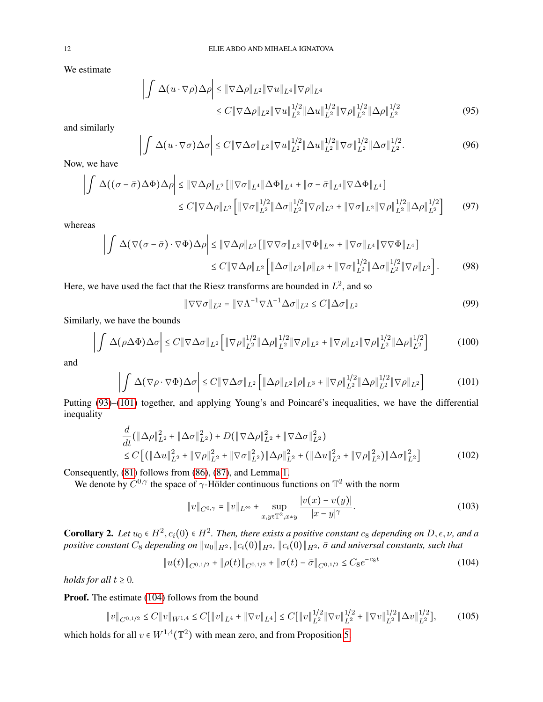We estimate

$$
\left| \int \Delta(u \cdot \nabla \rho) \Delta \rho \right| \leq \|\nabla \Delta \rho\|_{L^{2}} \|\nabla u\|_{L^{4}} \|\nabla \rho\|_{L^{4}} \n\leq C \|\nabla \Delta \rho\|_{L^{2}} \|\nabla u\|_{L^{2}}^{1/2} \|\Delta u\|_{L^{2}}^{1/2} \|\nabla \rho\|_{L^{2}}^{1/2} \|\Delta \rho\|_{L^{2}}^{1/2}
$$
\n(95)

and similarly

$$
\left| \int \Delta(u \cdot \nabla \sigma) \Delta \sigma \right| \leq C \| \nabla \Delta \sigma \|_{L^2} \| \nabla u \|_{L^2}^{1/2} \| \Delta u \|_{L^2}^{1/2} \| \nabla \sigma \|_{L^2}^{1/2} \| \Delta \sigma \|_{L^2}^{1/2}.
$$
 (96)

Now, we have

$$
\left| \int \Delta((\sigma - \bar{\sigma})\Delta\Phi) \Delta\rho \right| \leq \|\nabla\Delta\rho\|_{L^2} \left[ \|\nabla\sigma\|_{L^4} \|\Delta\Phi\|_{L^4} + \|\sigma - \bar{\sigma}\|_{L^4} \|\nabla\Delta\Phi\|_{L^4} \right] \n\leq C \|\nabla\Delta\rho\|_{L^2} \left[ \|\nabla\sigma\|_{L^2}^{1/2} \|\Delta\sigma\|_{L^2}^{1/2} \|\nabla\rho\|_{L^2} + \|\nabla\sigma\|_{L^2} \|\nabla\rho\|_{L^2}^{1/2} \|\Delta\rho\|_{L^2}^{1/2} \right] \tag{97}
$$

whereas

$$
\left| \int \Delta(\nabla(\sigma - \bar{\sigma}) \cdot \nabla \Phi) \Delta \rho \right| \leq \|\nabla \Delta \rho\|_{L^2} \left[ \|\nabla \nabla \sigma\|_{L^2} \|\nabla \Phi\|_{L^\infty} + \|\nabla \sigma\|_{L^4} \|\nabla \nabla \Phi\|_{L^4} \right] \leq C \|\nabla \Delta \rho\|_{L^2} \left[ \|\Delta \sigma\|_{L^2} \|\rho\|_{L^3} + \|\nabla \sigma\|_{L^2}^{1/2} \|\Delta \sigma\|_{L^2}^{1/2} \|\nabla \rho\|_{L^2} \right].
$$
 (98)

Here, we have used the fact that the Riesz transforms are bounded in  $L^2$ , and so

<span id="page-11-0"></span>
$$
\|\nabla\nabla\sigma\|_{L^2} = \|\nabla\Lambda^{-1}\nabla\Lambda^{-1}\Delta\sigma\|_{L^2} \le C\|\Delta\sigma\|_{L^2}
$$
\n(99)

Similarly, we have the bounds

$$
\left| \int \Delta(\rho \Delta \Phi) \Delta \sigma \right| \le C \| \nabla \Delta \sigma \|_{L^2} \left[ \| \nabla \rho \|_{L^2}^{1/2} \| \Delta \rho \|_{L^2}^{1/2} \| \nabla \rho \|_{L^2} + \| \nabla \rho \|_{L^2} \| \nabla \rho \|_{L^2}^{1/2} \| \Delta \rho \|_{L^2}^{1/2} \right] \tag{100}
$$

and

$$
\left| \int \Delta(\nabla \rho \cdot \nabla \Phi) \Delta \sigma \right| \le C \|\nabla \Delta \sigma\|_{L^2} \left[ \|\Delta \rho\|_{L^2} \|\rho\|_{L^3} + \|\nabla \rho\|_{L^2}^{1/2} \|\Delta \rho\|_{L^2}^{1/2} \|\nabla \rho\|_{L^2} \right] \tag{101}
$$

Putting [\(93\)](#page-10-3)–[\(101\)](#page-11-0) together, and applying Young's and Poincaré's inequalities, we have the differential inequality

$$
\frac{d}{dt}(\|\Delta\rho\|_{L^{2}}^{2} + \|\Delta\sigma\|_{L^{2}}^{2}) + D(\|\nabla\Delta\rho\|_{L^{2}}^{2} + \|\nabla\Delta\sigma\|_{L^{2}}^{2})
$$
\n
$$
\leq C\left[ (\|\Delta u\|_{L^{2}}^{2} + \|\nabla\rho\|_{L^{2}}^{2} + \|\nabla\sigma\|_{L^{2}}^{2})\|\Delta\rho\|_{L^{2}}^{2} + (\|\Delta u\|_{L^{2}}^{2} + \|\nabla\rho\|_{L^{2}}^{2})\|\Delta\sigma\|_{L^{2}}^{2} \right]
$$
\n(102)

Consequently, [\(81\)](#page-9-5) follows from [\(86\)](#page-10-1), [\(87\)](#page-10-0), and Lemma [1.](#page-2-1)

We denote by  $C^{0,\gamma}$  the space of  $\gamma$ -Hölder continuous functions on  $\mathbb{T}^2$  with the norm

$$
||v||_{C^{0,\gamma}} = ||v||_{L^{\infty}} + \sup_{x,y \in \mathbb{T}^2, x \neq y} \frac{|v(x) - v(y)|}{|x - y|^{\gamma}}.
$$
 (103)

<span id="page-11-2"></span>**Corollary 2.** Let  $u_0 \in H^2$ ,  $c_i(0) \in H^2$ . Then, there exists a positive constant  $c_8$  depending on  $D, \epsilon, \nu$ , and a *positive constant*  $C_8$  *depending on*  $\|u_0\|_{H^2}$ ,  $\|c_i(0)\|_{H^2}$ ,  $\|c_i(0)\|_{H^2}$ ,  $\bar{\sigma}$  and universal constants, such that

<span id="page-11-1"></span>
$$
||u(t)||_{C^{0,1/2}} + ||\rho(t)||_{C^{0,1/2}} + ||\sigma(t) - \bar{\sigma}||_{C^{0,1/2}} \leq C_8 e^{-c_8 t}
$$
\n(104)

*holds for all*  $t \geq 0$ *.* 

Proof. The estimate [\(104\)](#page-11-1) follows from the bound

$$
||v||_{C^{0,1/2}} \leq C||v||_{W^{1,4}} \leq C[||v||_{L^{4}} + ||\nabla v||_{L^{4}}] \leq C[||v||_{L^{2}}^{1/2}||\nabla v||_{L^{2}}^{1/2} + ||\nabla v||_{L^{2}}^{1/2}||\Delta v||_{L^{2}}^{1/2}], \qquad (105)
$$

which holds for all  $v \in W^{1,4}(\mathbb{T}^2)$  with mean zero, and from Proposition [5.](#page-9-6)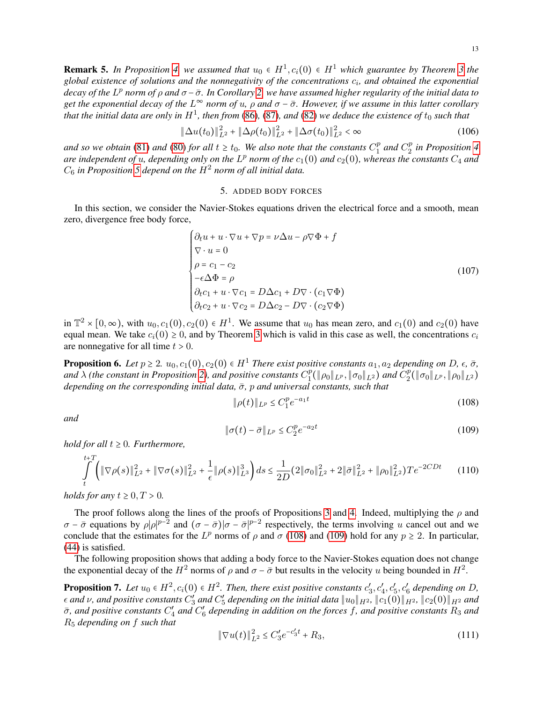**Remark 5.** In Proposition [4,](#page-8-4) we assumed that  $u_0 \in H^1$ ,  $c_i(0) \in H^1$  which guarantee by Theorem [3](#page-7-9) the global existence of solutions and the nonnegativity of the concentrations  $c_i$ , and obtained the exponential *decay of the* L p *norm of* ρ *and* σ −σ¯*. In Corollary [2,](#page-11-2) we have assumed higher regularity of the initial data to get the exponential decay of the* L <sup>∞</sup> *norm of* u*,* ρ *and* σ − σ¯*. However, if we assume in this latter corollary* that the initial data are only in  $H^1$ , then from [\(86\)](#page-10-1), [\(87\)](#page-10-0), and [\(82\)](#page-10-2) we deduce the existence of  $t_0$  such that

$$
\|\Delta u(t_0)\|_{L^2}^2 + \|\Delta \rho(t_0)\|_{L^2}^2 + \|\Delta \sigma(t_0)\|_{L^2}^2 < \infty
$$
\n(106)

*and so we obtain* [\(81\)](#page-9-5) *and* [\(80\)](#page-9-4) *for all*  $t \geq t_0$ . We also note that the constants  $C_1^p$  $I_1^p$  and  $C_2^p$ 2 *in Proposition [4](#page-8-4)* are independent of *u*, depending only on the  $L^p$  norm of the  $c_1(0)$  and  $c_2(0)$ , whereas the constants  $C_4$  and  $C_6$  in Proposition [5](#page-9-6) depend on the  $H^2$  norm of all initial data.

### 5. ADDED BODY FORCES

<span id="page-12-0"></span>In this section, we consider the Navier-Stokes equations driven the electrical force and a smooth, mean zero, divergence free body force,

<span id="page-12-4"></span>
$$
\begin{cases}\n\partial_t u + u \cdot \nabla u + \nabla p = \nu \Delta u - \rho \nabla \Phi + f \\
\nabla \cdot u = 0 \\
\rho = c_1 - c_2 \\
-\epsilon \Delta \Phi = \rho \\
\partial_t c_1 + u \cdot \nabla c_1 = D \Delta c_1 + D \nabla \cdot (c_1 \nabla \Phi) \\
\partial_t c_2 + u \cdot \nabla c_2 = D \Delta c_2 - D \nabla \cdot (c_2 \nabla \Phi)\n\end{cases}
$$
\n(107)

in  $\mathbb{T}^2 \times [0,\infty)$ , with  $u_0, c_1(0), c_2(0) \in H^1$ . We assume that  $u_0$  has mean zero, and  $c_1(0)$  and  $c_2(0)$  have equal mean. We take  $c_i(0) \ge 0$ , and by Theorem [3](#page-7-9) which is valid in this case as well, the concentrations  $c_i$ are nonnegative for all time  $t > 0$ .

**Proposition 6.** *Let*  $p \ge 2$ *.*  $u_0, c_1(0), c_2(0) \in H^1$  *There exist positive constants*  $a_1, a_2$  *depending on D,*  $\epsilon$ *,*  $\bar{\sigma}$ *, and* λ *(the constant in Proposition [2\)](#page-2-2), and positive constants* C p  $\frac{1}{2}(\|\rho_0\|_{L^p}, \|\sigma_0\|_{L^2})$  and  $C_2^p$  $_2^p(\|\sigma_0\|_{L^p},\|\rho_0\|_{L^2})$ *depending on the corresponding initial data,*  $\bar{\sigma}$ *, p and universal constants, such that* 

<span id="page-12-1"></span>
$$
\|\rho(t)\|_{L^p} \le C_1^p e^{-a_1 t} \tag{108}
$$

*and*

 $\overline{t}$ 

<span id="page-12-2"></span>
$$
\|\sigma(t) - \bar{\sigma}\|_{L^p} \le C_2^p e^{-a_2 t} \tag{109}
$$

*hold for all*  $t \geq 0$ *. Furthermore,* 

$$
\int_{t}^{t+1} \left( \|\nabla \rho(s)\|_{L^{2}}^{2} + \|\nabla \sigma(s)\|_{L^{2}}^{2} + \frac{1}{\epsilon} \|\rho(s)\|_{L^{3}}^{3} \right) ds \le \frac{1}{2D} (2\|\sigma_{0}\|_{L^{2}}^{2} + 2\|\bar{\sigma}\|_{L^{2}}^{2} + \|\rho_{0}\|_{L^{2}}^{2}) T e^{-2CDt}
$$
(110)

*holds for any*  $t \geq 0, T > 0$ .

The proof follows along the lines of the proofs of Propositions [3](#page-7-7) and [4.](#page-8-4) Indeed, multiplying the  $\rho$  and  $\sigma - \bar{\sigma}$  equations by  $\rho |\rho|^{p-2}$  and  $(\sigma - \bar{\sigma})|\sigma - \bar{\sigma}|^{p-2}$  respectively, the terms involving u cancel out and we conclude that the estimates for the  $L^p$  norms of  $\rho$  and  $\sigma$  [\(108\)](#page-12-1) and [\(109\)](#page-12-2) hold for any  $p \ge 2$ . In particular, [\(44\)](#page-6-0) is satisfied.

The following proposition shows that adding a body force to the Navier-Stokes equation does not change the exponential decay of the  $H^2$  norms of  $\rho$  and  $\sigma - \bar{\sigma}$  but results in the velocity u being bounded in  $H^2$ .

<span id="page-12-3"></span>**Proposition 7.** Let  $u_0 \in H^2$ ,  $c_i(0) \in H^2$ . Then, there exist positive constants  $c'_3, c'_4, c'_5, c'_6$  depending on D,  $\epsilon$  and  $\nu$ , and positive constants  $C'_3$  and  $C'_5$  depending on the initial data  $\|u_0\|_{H^2}$ ,  $\|c_1(0)\|_{H^2}$ ,  $\|c_2(0)\|_{H^2}$  and  $\bar{\sigma}$ , and positive constants  $C_4'$  and  $C_6'$  depending in addition on the forces f, and positive constants  $R_3$  and R<sup>5</sup> *depending on* f *such that*

$$
\|\nabla u(t)\|_{L^2}^2 \le C_3' e^{-c_3' t} + R_3,\tag{111}
$$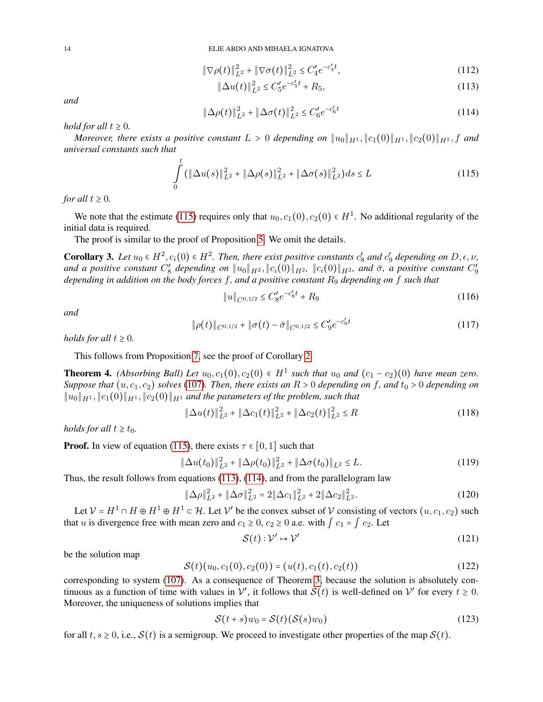$$
\|\nabla \rho(t)\|_{L^2}^2 + \|\nabla \sigma(t)\|_{L^2}^2 \le C_4' e^{-c_4' t},\tag{112}
$$

<span id="page-13-1"></span>
$$
\|\Delta u(t)\|_{L^2}^2 \le C_5' e^{-c_5' t} + R_5,\tag{113}
$$

<span id="page-13-2"></span>
$$
\|\Delta \rho(t)\|_{L^2}^2 + \|\Delta \sigma(t)\|_{L^2}^2 \le C_6' e^{-c_6' t}
$$
\n(114)

*hold for all*  $t \geq 0$ *.* 

*Moreover, there exists a positive constant*  $L > 0$  *depending on*  $||u_0||_{H^1}, ||c_1(0)||_{H^1}, ||c_2(0)||_{H^1}, f$  *and universal constants such that*

<span id="page-13-0"></span>
$$
\int_{0}^{t} (\|\Delta u(s)\|_{L^{2}}^{2} + \|\Delta \rho(s)\|_{L^{2}}^{2} + \|\Delta \sigma(s)\|_{L^{2}}^{2})ds \le L
$$
\n(115)

*for all*  $t \geq 0$ *.* 

We note that the estimate [\(115\)](#page-13-0) requires only that  $u_0, c_1(0), c_2(0) \in H<sup>1</sup>$ . No additional regularity of the initial data is required.

The proof is similar to the proof of Proposition [5.](#page-9-6) We omit the details.

**Corollary 3.** Let  $u_0 \in H^2$ ,  $c_i(0) \in H^2$ . Then, there exist positive constants  $c'_8$  and  $c'_9$  depending on  $D, \epsilon, \nu$ , and a positive constant  $C_8'$  depending on  $\|u_0\|_{H^2}$ ,  $\|c_i(0)\|_{H^2}$ ,  $\|c_i(0)\|_{H^2}$ , and  $\bar{\sigma}$ , a positive constant  $C_9'$ *depending in addition on the body forces* f*, and a positive constant* R<sup>9</sup> *depending on* f *such that*

$$
||u||_{C^{0,1/2}} \leq C_8'e^{-c_8't} + R_9 \tag{116}
$$

*and*

$$
\|\rho(t)\|_{C^{0,1/2}} + \|\sigma(t) - \bar{\sigma}\|_{C^{0,1/2}} \le C_9' e^{-c_9' t} \tag{117}
$$

*holds for all*  $t \geq 0$ *.* 

This follows from Proposition [7,](#page-12-3) see the proof of Corollary [2.](#page-11-2)

<span id="page-13-3"></span>**Theorem 4.** *(Absorbing Ball) Let*  $u_0, c_1(0), c_2(0) \in H^1$  such that  $u_0$  and  $(c_1 - c_2)(0)$  have mean zero. *Suppose that*  $(u, c_1, c_2)$  *solves* [\(107\)](#page-12-4)*. Then, there exists an*  $R > 0$  *depending on* f, and  $t_0 > 0$  *depending on*  $||u_0||_{H^1}, ||c_1(0)||_{H^1}, ||c_2(0)||_{H^1}$  *and the parameters of the problem, such that* 

$$
\|\Delta u(t)\|_{L^2}^2 + \|\Delta c_1(t)\|_{L^2}^2 + \|\Delta c_2(t)\|_{L^2}^2 \le R
$$
\n(118)

*holds for all*  $t \geq t_0$ *.* 

**Proof.** In view of equation [\(115\)](#page-13-0), there exists  $\tau \in [0, 1]$  such that

$$
\|\Delta u(t_0)\|_{L^2}^2 + \|\Delta \rho(t_0)\|_{L^2}^2 + \|\Delta \sigma(t_0)\|_{L^2} \le L. \tag{119}
$$

Thus, the result follows from equations [\(113\)](#page-13-1), [\(114\)](#page-13-2), and from the parallelogram law

$$
\|\Delta \rho\|_{L^2}^2 + \|\Delta \sigma\|_{L^2}^2 = 2\|\Delta c_1\|_{L^2}^2 + 2\|\Delta c_2\|_{L^2}^2.
$$
 (120)

Let  $V = H^1 \cap H \oplus H^1 \oplus H^1 \subset \mathcal{H}$ . Let  $V'$  be the convex subset of V consisting of vectors  $(u, c_1, c_2)$  such that u is divergence free with mean zero and  $c_1 \geq 0$ ,  $c_2 \geq 0$  a.e. with  $\int c_1 = \int c_2$ . Let

$$
\mathcal{S}(t): \mathcal{V}' \mapsto \mathcal{V}' \tag{121}
$$

be the solution map

$$
S(t)(u_0, c_1(0), c_2(0)) = (u(t), c_1(t), c_2(t))
$$
\n(122)

corresponding to system [\(107\)](#page-12-4). As a consequence of Theorem [3,](#page-7-9) because the solution is absolutely continuous as a function of time with values in  $\mathcal{V}'$ , it follows that  $\mathcal{S}(t)$  is well-defined on  $\mathcal{V}'$  for every  $t \geq 0$ . Moreover, the uniqueness of solutions implies that

$$
\mathcal{S}(t+s)w_0 = \mathcal{S}(t)(\mathcal{S}(s)w_0)
$$
\n(123)

for all t,  $s \ge 0$ , i.e.,  $S(t)$  is a semigroup. We proceed to investigate other properties of the map  $S(t)$ .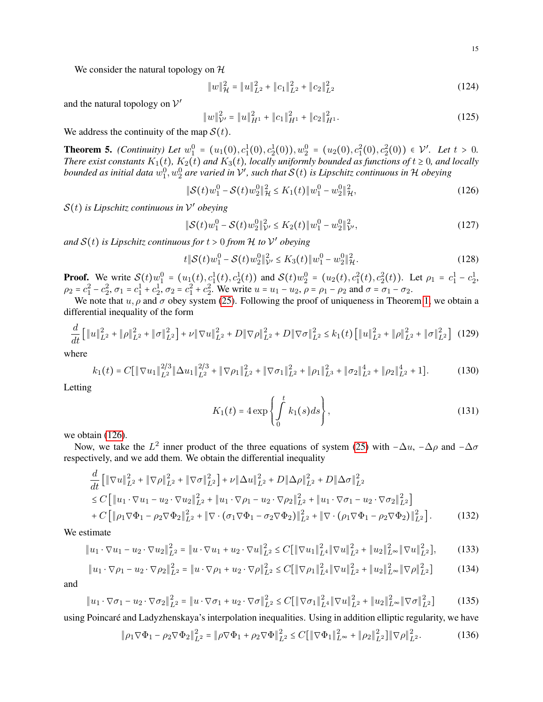We consider the natural topology on  $H$ 

$$
||w||_{\mathcal{H}}^{2} = ||u||_{L^{2}}^{2} + ||c_{1}||_{L^{2}}^{2} + ||c_{2}||_{L^{2}}^{2}
$$
\n(124)

and the natural topology on  $V'$ 

$$
||w||_{\mathcal{V}'}^2 = ||u||_{H^1}^2 + ||c_1||_{H^1}^2 + ||c_2||_{H^1}^2.
$$
 (125)

We address the continuity of the map  $S(t)$ .

<span id="page-14-0"></span>**Theorem 5.** *(Continuity) Let*  $w_1^0 = (u_1(0), c_1^1(0), c_2^1(0)), w_2^0 = (u_2(0), c_1^2(0), c_2^2(0)) \in \mathcal{V}'$ . Let  $t > 0$ . *There exist constants*  $K_1(t)$ *,*  $K_2(t)$  *and*  $K_3(t)$ *, locally uniformly bounded as functions of*  $t \ge 0$ *, and locally* bounded as initial data  $w_1^0,w_2^0$  are varied in  $\mathcal V'$ , such that  $\mathcal S(t)$  is Lipschitz continuous in  $\mathcal H$  obeying

<span id="page-14-1"></span>
$$
\|\mathcal{S}(t)w_1^0 - \mathcal{S}(t)w_2^0\|_{\mathcal{H}}^2 \le K_1(t)\|w_1^0 - w_2^0\|_{\mathcal{H}}^2,
$$
\n(126)

S(t) *is Lipschitz continuous in* V ′ *obeying*

<span id="page-14-3"></span>
$$
\|\mathcal{S}(t)w_1^0 - \mathcal{S}(t)w_2^0\|_{\mathcal{V}'}^2 \le K_2(t)\|w_1^0 - w_2^0\|_{\mathcal{V}'}^2,
$$
\n(127)

and  $S(t)$  is Lipschitz continuous for  $t > 0$  from  $H$  to  $V'$  obeying

<span id="page-14-4"></span>
$$
t\|\mathcal{S}(t)w_1^0 - \mathcal{S}(t)w_2^0\|_{\mathcal{V}'}^2 \le K_3(t)\|w_1^0 - w_2^0\|_{\mathcal{H}}^2.
$$
 (128)

**Proof.** We write  $S(t)w_1^0 = (u_1(t), c_1^1(t), c_2^1(t))$  and  $S(t)w_2^0 = (u_2(t), c_1^2(t), c_2^2(t))$ . Let  $\rho_1 = c_1^1 - c_2^1$ ,  $\rho_2 = c_1^2 - c_2^2$ ,  $\sigma_1 = c_1^1 + c_2^1$ ,  $\sigma_2 = c_1^2 + c_2^2$ . We write  $u = u_1 - u_2$ ,  $\rho = \rho_1 - \rho_2$  and  $\sigma = \sigma_1 - \sigma_2$ .

We note that  $u, \rho$  and  $\sigma$  obey system [\(25\)](#page-4-1). Following the proof of uniqueness in Theorem [1,](#page-3-3) we obtain a differential inequality of the form

<span id="page-14-2"></span>
$$
\frac{d}{dt} \left[ \|u\|_{L^2}^2 + \|\rho\|_{L^2}^2 + \|\sigma\|_{L^2}^2 \right] + \nu \|\nabla u\|_{L^2}^2 + D \|\nabla \rho\|_{L^2}^2 + D \|\nabla \sigma\|_{L^2}^2 \le k_1(t) \left[ \|u\|_{L^2}^2 + \|\rho\|_{L^2}^2 + \|\sigma\|_{L^2}^2 \right] \tag{129}
$$

where

$$
k_1(t) = C \left[ \|\nabla u_1\|_{L^2}^{2/3} \|\Delta u_1\|_{L^2}^{2/3} + \|\nabla \rho_1\|_{L^2}^2 + \|\nabla \sigma_1\|_{L^2}^2 + \|\rho_1\|_{L^3}^2 + \|\sigma_2\|_{L^2}^4 + \|\rho_2\|_{L^2}^4 + 1 \right].
$$
 (130)

Letting

$$
K_1(t) = 4 \exp\left\{ \int_0^t k_1(s) ds \right\},\tag{131}
$$

we obtain [\(126\)](#page-14-1).

Now, we take the  $L^2$  inner product of the three equations of system [\(25\)](#page-4-1) with  $-\Delta u$ ,  $-\Delta \rho$  and  $-\Delta \sigma$ respectively, and we add them. We obtain the differential inequality

$$
\frac{d}{dt} \left[ \|\nabla u\|_{L^2}^2 + \|\nabla \rho\|_{L^2}^2 + \|\nabla \sigma\|_{L^2}^2 \right] + \nu \|\Delta u\|_{L^2}^2 + D \|\Delta \rho\|_{L^2}^2 + D \|\Delta \sigma\|_{L^2}^2 \n\leq C \left[ \|u_1 \cdot \nabla u_1 - u_2 \cdot \nabla u_2\|_{L^2}^2 + \|u_1 \cdot \nabla \rho_1 - u_2 \cdot \nabla \rho_2\|_{L^2}^2 + \|u_1 \cdot \nabla \sigma_1 - u_2 \cdot \nabla \sigma_2\|_{L^2}^2 \right] \n+ C \left[ \|\rho_1 \nabla \Phi_1 - \rho_2 \nabla \Phi_2\|_{L^2}^2 + \|\nabla \cdot (\sigma_1 \nabla \Phi_1 - \sigma_2 \nabla \Phi_2)\|_{L^2}^2 + \|\nabla \cdot (\rho_1 \nabla \Phi_1 - \rho_2 \nabla \Phi_2)\|_{L^2}^2 \right].
$$
\n(132)

We estimate

$$
\|u_1 \cdot \nabla u_1 - u_2 \cdot \nabla u_2\|_{L^2}^2 = \|u \cdot \nabla u_1 + u_2 \cdot \nabla u\|_{L^2}^2 \le C \left[\|\nabla u_1\|_{L^4}^2 \|\nabla u\|_{L^2}^2 + \|u_2\|_{L^\infty}^2 \|\nabla u\|_{L^2}^2\right],\tag{133}
$$

$$
\|u_1 \cdot \nabla \rho_1 - u_2 \cdot \nabla \rho_2\|_{L^2}^2 = \|u \cdot \nabla \rho_1 + u_2 \cdot \nabla \rho\|_{L^2}^2 \le C \left[\|\nabla \rho_1\|_{L^4}^2 \|\nabla u\|_{L^2}^2 + \|u_2\|_{L^\infty}^2 \|\nabla \rho\|_{L^2}^2\right] \tag{134}
$$

and

$$
\|u_1 \cdot \nabla \sigma_1 - u_2 \cdot \nabla \sigma_2\|_{L^2}^2 = \|u \cdot \nabla \sigma_1 + u_2 \cdot \nabla \sigma\|_{L^2}^2 \le C \left[\|\nabla \sigma_1\|_{L^4}^2 \|\nabla u\|_{L^2}^2 + \|u_2\|_{L^\infty}^2 \|\nabla \sigma\|_{L^2}^2\right] \tag{135}
$$

using Poincaré and Ladyzhenskaya's interpolation inequalities. Using in addition elliptic regularity, we have

$$
\|\rho_1 \nabla \Phi_1 - \rho_2 \nabla \Phi_2\|_{L^2}^2 = \|\rho \nabla \Phi_1 + \rho_2 \nabla \Phi\|_{L^2}^2 \le C \left[\|\nabla \Phi_1\|_{L^\infty}^2 + \|\rho_2\|_{L^2}^2\right] \|\nabla \rho\|_{L^2}^2. \tag{136}
$$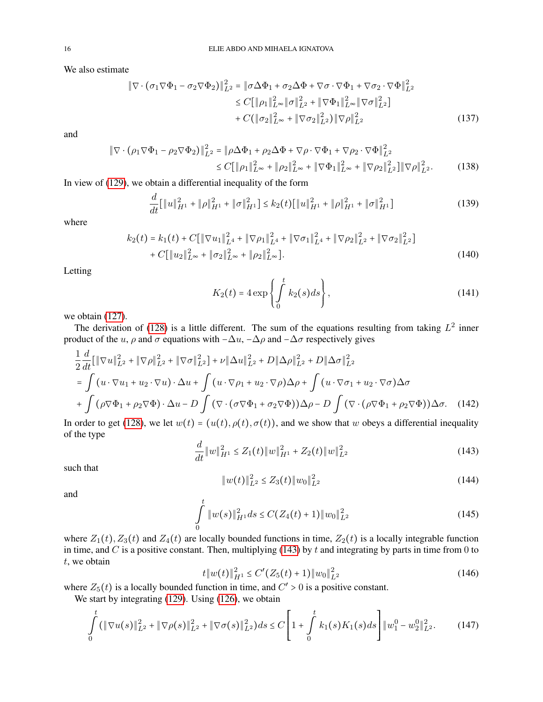We also estimate

$$
\|\nabla \cdot (\sigma_1 \nabla \Phi_1 - \sigma_2 \nabla \Phi_2)\|_{L^2}^2 = \|\sigma \Delta \Phi_1 + \sigma_2 \Delta \Phi + \nabla \sigma \cdot \nabla \Phi_1 + \nabla \sigma_2 \cdot \nabla \Phi\|_{L^2}^2 \n\leq C[\|\rho_1\|_{L^\infty}^2 \|\sigma\|_{L^2}^2 + \|\nabla \Phi_1\|_{L^\infty}^2 \|\nabla \sigma\|_{L^2}^2] \n+ C(\|\sigma_2\|_{L^\infty}^2 + \|\nabla \sigma_2\|_{L^2}^2) \|\nabla \rho\|_{L^2}^2
$$
\n(137)

and

$$
\|\nabla \cdot (\rho_1 \nabla \Phi_1 - \rho_2 \nabla \Phi_2)\|_{L^2}^2 = \|\rho \Delta \Phi_1 + \rho_2 \Delta \Phi + \nabla \rho \cdot \nabla \Phi_1 + \nabla \rho_2 \cdot \nabla \Phi\|_{L^2}^2
$$
  
\n
$$
\leq C[\|\rho_1\|_{L^\infty}^2 + \|\rho_2\|_{L^\infty}^2 + \|\nabla \Phi_1\|_{L^\infty}^2 + \|\nabla \rho_2\|_{L^2}^2] \|\nabla \rho\|_{L^2}^2. \tag{138}
$$

In view of [\(129\)](#page-14-2), we obtain a differential inequality of the form

$$
\frac{d}{dt}[\|u\|_{H^1}^2 + \|\rho\|_{H^1}^2 + \|\sigma\|_{H^1}^2] \le k_2(t)[\|u\|_{H^1}^2 + \|\rho\|_{H^1}^2 + \|\sigma\|_{H^1}^2] \tag{139}
$$

where

$$
k_2(t) = k_1(t) + C[\|\nabla u_1\|_{L^4}^2 + \|\nabla \rho_1\|_{L^4}^2 + \|\nabla \sigma_1\|_{L^4}^2 + \|\nabla \rho_2\|_{L^2}^2 + \|\nabla \sigma_2\|_{L^2}^2] + C[\|u_2\|_{L^\infty}^2 + \|\sigma_2\|_{L^\infty}^2 + \|\rho_2\|_{L^\infty}^2].
$$
\n(140)

Letting

$$
K_2(t) = 4 \exp\left\{ \int_0^t k_2(s) ds \right\},\tag{141}
$$

we obtain  $(127)$ .

The derivation of [\(128\)](#page-14-4) is a little different. The sum of the equations resulting from taking  $L^2$  inner product of the u,  $\rho$  and  $\sigma$  equations with  $-\Delta u$ ,  $-\Delta \rho$  and  $-\Delta \sigma$  respectively gives

$$
\frac{1}{2}\frac{d}{dt}\left[\|\nabla u\|_{L^{2}}^{2}+\|\nabla \rho\|_{L^{2}}^{2}+\|\nabla \sigma\|_{L^{2}}^{2}\right]+\nu\|\Delta u\|_{L^{2}}^{2}+D\|\Delta \rho\|_{L^{2}}^{2}+D\|\Delta \sigma\|_{L^{2}}^{2}
$$
\n
$$
=\int (u\cdot \nabla u_{1}+u_{2}\cdot \nabla u)\cdot \Delta u+\int (u\cdot \nabla \rho_{1}+u_{2}\cdot \nabla \rho)\Delta \rho+\int (u\cdot \nabla \sigma_{1}+u_{2}\cdot \nabla \sigma)\Delta \sigma
$$
\n
$$
+\int (\rho \nabla \Phi_{1}+\rho_{2} \nabla \Phi)\cdot \Delta u-D\int (\nabla \cdot (\sigma \nabla \Phi_{1}+\sigma_{2} \nabla \Phi))\Delta \rho-D\int (\nabla \cdot (\rho \nabla \Phi_{1}+\rho_{2} \nabla \Phi))\Delta \sigma.
$$
\n(142)

In order to get [\(128\)](#page-14-4), we let  $w(t) = (u(t), \rho(t), \sigma(t))$ , and we show that w obeys a differential inequality of the type

<span id="page-15-0"></span>
$$
\frac{d}{dt} \|w\|_{H^1}^2 \le Z_1(t) \|w\|_{H^1}^2 + Z_2(t) \|w\|_{L^2}^2 \tag{143}
$$

such that

<span id="page-15-2"></span>
$$
||w(t)||_{L^{2}}^{2} \leq Z_{3}(t)||w_{0}||_{L^{2}}^{2}
$$
\n(144)

and

<span id="page-15-1"></span>
$$
\int_{0}^{t} \|w(s)\|_{H^{1}}^{2} ds \leq C(Z_{4}(t) + 1) \|w_{0}\|_{L^{2}}^{2}
$$
\n(145)

where  $Z_1(t)$ ,  $Z_3(t)$  and  $Z_4(t)$  are locally bounded functions in time,  $Z_2(t)$  is a locally integrable function in time, and  $C$  is a positive constant. Then, multiplying [\(143\)](#page-15-0) by  $t$  and integrating by parts in time from 0 to  $t$ , we obtain

$$
t \|w(t)\|_{H^1}^2 \le C' (Z_5(t) + 1) \|w_0\|_{L^2}^2
$$
\n(146)

where  $Z_5(t)$  is a locally bounded function in time, and  $C' > 0$  is a positive constant.

We start by integrating [\(129\)](#page-14-2). Using [\(126\)](#page-14-1), we obtain

$$
\int_{0}^{t} (\|\nabla u(s)\|_{L^{2}}^{2} + \|\nabla \rho(s)\|_{L^{2}}^{2} + \|\nabla \sigma(s)\|_{L^{2}}^{2})ds \leq C\left[1 + \int_{0}^{t} k_{1}(s)K_{1}(s)ds\right] \|w_{1}^{0} - w_{2}^{0}\|_{L^{2}}^{2}.
$$
 (147)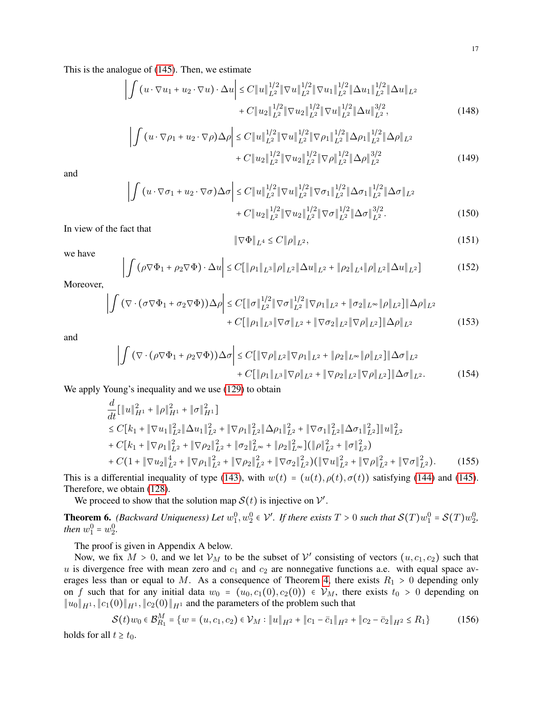This is the analogue of [\(145\)](#page-15-1). Then, we estimate

$$
\left| \int \left( u \cdot \nabla u_1 + u_2 \cdot \nabla u \right) \cdot \Delta u \right| \leq C \| u \|_{L^2}^{1/2} \| \nabla u \|_{L^2}^{1/2} \| \nabla u_1 \|_{L^2}^{1/2} \| \Delta u_1 \|_{L^2}^{1/2} \| \Delta u \|_{L^2} + C \| u_2 \|_{L^2}^{1/2} \| \nabla u_2 \|_{L^2}^{1/2} \| \nabla u \|_{L^2}^{1/2} \| \Delta u \|_{L^2}^{3/2}, \tag{148}
$$

$$
\left| \int (u \cdot \nabla \rho_1 + u_2 \cdot \nabla \rho) \Delta \rho \right| \leq C \|u\|_{L^2}^{1/2} \|\nabla u\|_{L^2}^{1/2} \|\nabla \rho_1\|_{L^2}^{1/2} \|\Delta \rho_1\|_{L^2}^{1/2} \|\Delta \rho\|_{L^2} + C \|u_2\|_{L^2}^{1/2} \|\nabla u_2\|_{L^2}^{1/2} \|\nabla \rho\|_{L^2}^{1/2} \|\Delta \rho\|_{L^2}^{3/2}
$$
\n(149)

and

$$
\left| \int (u \cdot \nabla \sigma_1 + u_2 \cdot \nabla \sigma) \Delta \sigma \right| \leq C \|u\|_{L^2}^{1/2} \|\nabla u\|_{L^2}^{1/2} \|\nabla \sigma_1\|_{L^2}^{1/2} \|\Delta \sigma_1\|_{L^2}^{1/2} \|\Delta \sigma\|_{L^2} + C \|u_2\|_{L^2}^{1/2} \|\nabla u_2\|_{L^2}^{1/2} \|\nabla \sigma\|_{L^2}^{1/2} \|\Delta \sigma\|_{L^2}^{3/2}.
$$
\n(150)

In view of the fact that

$$
\|\nabla\Phi\|_{L^4} \le C \|\rho\|_{L^2},\tag{151}
$$

we have

$$
\left| \int \left( \rho \nabla \Phi_1 + \rho_2 \nabla \Phi \right) \cdot \Delta u \right| \le C \left[ \|\rho_1\|_{L^3} \|\rho\|_{L^2} \|\Delta u\|_{L^2} + \|\rho_2\|_{L^4} \|\rho\|_{L^2} \|\Delta u\|_{L^2} \right] \tag{152}
$$

Moreover,

$$
\left| \int (\nabla \cdot (\sigma \nabla \Phi_1 + \sigma_2 \nabla \Phi)) \Delta \rho \right| \leq C \left[ \|\sigma\|_{L^2}^{1/2} \|\nabla \sigma\|_{L^2}^{1/2} \|\nabla \rho_1\|_{L^2} + \|\sigma_2\|_{L^\infty} \|\rho\|_{L^2} \right] \|\Delta \rho\|_{L^2} + C \left[ \|\rho_1\|_{L^3} \|\nabla \sigma\|_{L^2} + \|\nabla \sigma_2\|_{L^2} \|\nabla \rho\|_{L^2} \right] \|\Delta \rho\|_{L^2}
$$
\n(153)

and

$$
\left| \int (\nabla \cdot (\rho \nabla \Phi_1 + \rho_2 \nabla \Phi)) \Delta \sigma \right| \le C \left[ \|\nabla \rho\|_{L^2} \|\nabla \rho_1\|_{L^2} + \|\rho_2\|_{L^\infty} \|\rho\|_{L^2} \right] \|\Delta \sigma\|_{L^2} + C \left[ \|\rho_1\|_{L^3} \|\nabla \rho\|_{L^2} + \|\nabla \rho_2\|_{L^2} \|\nabla \rho\|_{L^2} \right] \|\Delta \sigma\|_{L^2}.
$$
 (154)

We apply Young's inequality and we use  $(129)$  to obtain

$$
\frac{d}{dt}[\|u\|_{H^1}^2 + \|\rho\|_{H^1}^2 + \|\sigma\|_{H^1}^2]\n\leq C[k_1 + \|\nabla u_1\|_{L^2}^2 \|\Delta u_1\|_{L^2}^2 + \|\nabla \rho_1\|_{L^2}^2 \|\Delta \rho_1\|_{L^2}^2 + \|\nabla \sigma_1\|_{L^2}^2 \|\Delta \sigma_1\|_{L^2}^2] \|u\|_{L^2}^2\n+ C[k_1 + \|\nabla \rho_1\|_{L^2}^2 + \|\nabla \rho_2\|_{L^2}^2 + \|\sigma_2\|_{L^\infty}^2 + \|\rho_2\|_{L^\infty}^2] (\|\rho\|_{L^2}^2 + \|\sigma\|_{L^2}^2)\n+ C(1 + \|\nabla u_2\|_{L^2}^4 + \|\nabla \rho_1\|_{L^2}^2 + \|\nabla \rho_2\|_{L^2}^2 + \|\nabla \sigma_2\|_{L^2}^2) (\|\nabla u\|_{L^2}^2 + \|\nabla \rho\|_{L^2}^2 + \|\nabla \sigma\|_{L^2}^2). \tag{155}
$$

This is a differential inequality of type [\(143\)](#page-15-0), with  $w(t) = (u(t), \rho(t), \sigma(t))$  satisfying [\(144\)](#page-15-2) and [\(145\)](#page-15-1). Therefore, we obtain [\(128\)](#page-14-4).

We proceed to show that the solution map  $S(t)$  is injective on  $V'$ .

<span id="page-16-0"></span>**Theorem 6.** *(Backward Uniqueness) Let*  $w_1^0, w_2^0 \in V'$ . If there exists  $T > 0$  such that  $\mathcal{S}(T)w_1^0 = \mathcal{S}(T)w_2^0$ , *then*  $w_1^0 = w_2^0$ .

The proof is given in Appendix A below.

Now, we fix  $M > 0$ , and we let  $\mathcal{V}_M$  to be the subset of  $\mathcal{V}'$  consisting of vectors  $(u, c_1, c_2)$  such that  $u$  is divergence free with mean zero and  $c_1$  and  $c_2$  are nonnegative functions a.e. with equal space av-erages less than or equal to M. As a consequence of Theorem [4,](#page-13-3) there exists  $R_1 > 0$  depending only on f such that for any initial data  $w_0 = (u_0, c_1(0), c_2(0)) \in V_M$ , there exists  $t_0 > 0$  depending on  $||u_0||_{H^1}$ ,  $||c_1(0)||_{H^1}$ ,  $||c_2(0)||_{H^1}$  and the parameters of the problem such that

$$
\mathcal{S}(t)w_0 \in \mathcal{B}_{R_1}^M = \{ w = (u, c_1, c_2) \in \mathcal{V}_M : \|u\|_{H^2} + \|c_1 - \bar{c}_1\|_{H^2} + \|c_2 - \bar{c}_2\|_{H^2} \le R_1 \}
$$
(156)

holds for all  $t \geq t_0$ .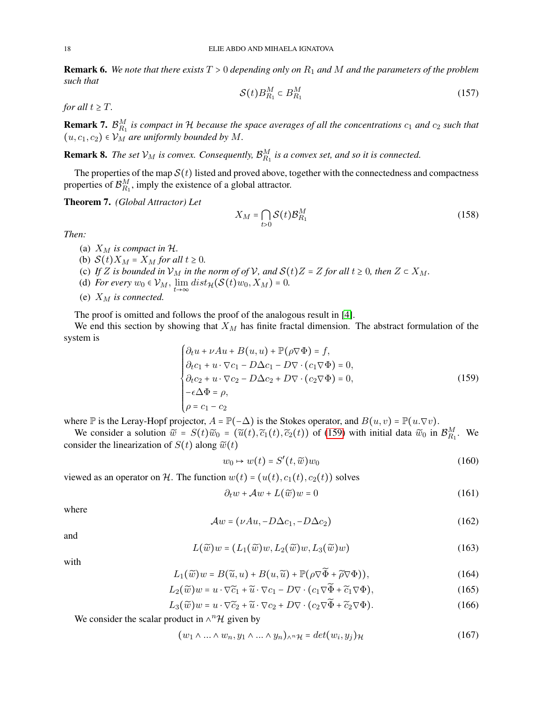<span id="page-17-1"></span>Remark 6. *We note that there exists* T > 0 *depending only on* R<sup>1</sup> *and* M *and the parameters of the problem such that*

$$
\mathcal{S}(t)B_{R_1}^M \subset B_{R_1}^M \tag{157}
$$

*for all*  $t \geq T$ *.* 

**Remark 7.**  $\mathcal{B}_{R_1}^M$  is compact in H because the space averages of all the concentrations  $c_1$  and  $c_2$  such that  $(u, c_1, c_2) \in \mathcal{V}_M$  *are uniformly bounded by M.* 

**Remark 8.** The set  $\mathcal{V}_M$  is convex. Consequently,  $\mathcal{B}_{R_1}^M$  is a convex set, and so it is connected.

The properties of the map  $S(t)$  listed and proved above, together with the connectedness and compactness properties of  $\mathcal{B}_{R_1}^M$ , imply the existence of a global attractor.

<span id="page-17-2"></span>Theorem 7. *(Global Attractor) Let*

$$
X_M = \bigcap_{t>0} \mathcal{S}(t) \mathcal{B}_{R_1}^M
$$
 (158)

*Then:*

- (a)  $X_M$  *is compact in H.*
- (b)  $S(t)X_M = X_M$  *for all*  $t \geq 0$ *.*
- (c) If Z is bounded in  $\mathcal{V}_M$  in the norm of of  $\mathcal{V}$ , and  $\mathcal{S}(t)Z = Z$  for all  $t \geq 0$ , then  $Z \subset X_M$ .
- (d) *For every*  $w_0 \in V_M$ ,  $\lim_{t \to \infty} dist_{\mathcal{H}}(\mathcal{S}(t)w_0, X_M) = 0$ .
- (e)  $X_M$  *is connected.*

The proof is omitted and follows the proof of the analogous result in [\[4\]](#page-25-15).

We end this section by showing that  $X_M$  has finite fractal dimension. The abstract formulation of the system is

<span id="page-17-0"></span>
$$
\begin{cases}\n\partial_t u + \nu A u + B(u, u) + \mathbb{P}(\rho \nabla \Phi) = f, \\
\partial_t c_1 + u \cdot \nabla c_1 - D \Delta c_1 - D \nabla \cdot (c_1 \nabla \Phi) = 0, \\
\partial_t c_2 + u \cdot \nabla c_2 - D \Delta c_2 + D \nabla \cdot (c_2 \nabla \Phi) = 0, \\
-\epsilon \Delta \Phi = \rho, \\
\rho = c_1 - c_2\n\end{cases}
$$
\n(159)

where  $\mathbb P$  is the Leray-Hopf projector,  $A = \mathbb P(-\Delta)$  is the Stokes operator, and  $B(u, v) = \mathbb P(u, \nabla v)$ .

We consider a solution  $\tilde{w} = S(t)\tilde{w}_0 = (\tilde{u}(t), \tilde{c}_1(t), \tilde{c}_2(t))$  of [\(159\)](#page-17-0) with initial data  $\tilde{w}_0$  in  $\mathcal{B}_{R_1}^M$ . We consider the linearization of  $S(t)$  along  $\widetilde{w}(t)$ 

$$
w_0 \mapsto w(t) = S'(t, \widetilde{w})w_0 \tag{160}
$$

viewed as an operator on H. The function  $w(t) = (u(t), c_1(t), c_2(t))$  solves

$$
\partial_t w + \mathcal{A}w + L(\widetilde{w})w = 0 \tag{161}
$$

where

$$
\mathcal{A}w = (\nu Au, -D\Delta c_1, -D\Delta c_2) \tag{162}
$$

and

$$
L(\widetilde{w})w = (L_1(\widetilde{w})w, L_2(\widetilde{w})w, L_3(\widetilde{w})w)
$$
\n(163)

with

$$
L_1(\widetilde{w})w = B(\widetilde{u}, u) + B(u, \widetilde{u}) + \mathbb{P}(\rho \nabla \widetilde{\Phi} + \widetilde{\rho} \nabla \Phi)),
$$
\n(164)

$$
L_2(\widetilde{w})w = u \cdot \nabla \widetilde{c}_1 + \widetilde{u} \cdot \nabla c_1 - D \nabla \cdot (c_1 \nabla \widetilde{\Phi} + \widetilde{c}_1 \nabla \Phi), \tag{165}
$$

$$
L_3(\widetilde{w})w = u \cdot \nabla \widetilde{c}_2 + \widetilde{u} \cdot \nabla c_2 + D \nabla \cdot (c_2 \nabla \widetilde{\Phi} + \widetilde{c}_2 \nabla \Phi). \tag{166}
$$

We consider the scalar product in  $\wedge^n \mathcal{H}$  given by

$$
(w_1 \wedge \ldots \wedge w_n, y_1 \wedge \ldots \wedge y_n)_{\wedge^n \mathcal{H}} = \det(w_i, y_j)_{\mathcal{H}}
$$
\n(167)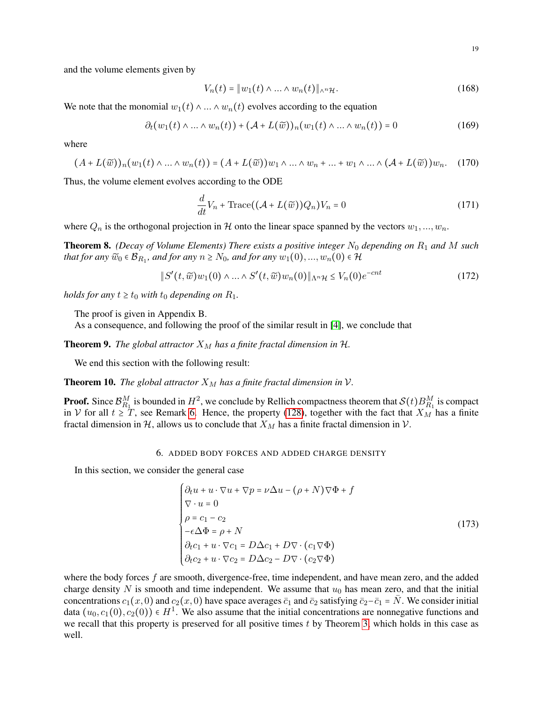and the volume elements given by

$$
V_n(t) = \|w_1(t) \wedge \ldots \wedge w_n(t)\|_{\wedge^n \mathcal{H}}.\tag{168}
$$

We note that the monomial  $w_1(t) \wedge ... \wedge w_n(t)$  evolves according to the equation

$$
\partial_t (w_1(t) \wedge \ldots \wedge w_n(t)) + (\mathcal{A} + L(\widetilde{w}))_n(w_1(t) \wedge \ldots \wedge w_n(t)) = 0 \qquad (169)
$$

where

$$
(A+L(\widetilde{w}))_n(w_1(t)\wedge\ldots\wedge w_n(t))=(A+L(\widetilde{w}))w_1\wedge\ldots\wedge w_n+\ldots+w_1\wedge\ldots\wedge (A+L(\widetilde{w}))w_n. (170)
$$

Thus, the volume element evolves according to the ODE

$$
\frac{d}{dt}V_n + \text{Trace}((\mathcal{A} + L(\widetilde{w}))Q_n)V_n = 0
$$
\n(171)

where  $Q_n$  is the orthogonal projection in H onto the linear space spanned by the vectors  $w_1, ..., w_n$ .

<span id="page-18-2"></span>Theorem 8. *(Decay of Volume Elements) There exists a positive integer* N<sup>0</sup> *depending on* R<sup>1</sup> *and* M *such* that for any  $\widetilde{w}_0 \in \mathcal{B}_{R_1}$ , and for any  $n \geq N_0$ , and for any  $w_1(0), ..., w_n(0) \in \mathcal{H}$ 

$$
\|S'(t,\widetilde{w})w_1(0)\wedge\ldots\wedge S'(t,\widetilde{w})w_n(0)\|_{\Lambda^n\mathcal{H}}\leq V_n(0)e^{-cnt} \tag{172}
$$

*holds for any*  $t \ge t_0$  *with*  $t_0$  *depending on*  $R_1$ *.* 

The proof is given in Appendix B.

As a consequence, and following the proof of the similar result in [\[4\]](#page-25-15), we conclude that

<span id="page-18-3"></span>**Theorem 9.** *The global attractor*  $X_M$  *has a finite fractal dimension in*  $H$ *.* 

We end this section with the following result:

<span id="page-18-4"></span>**Theorem 10.** *The global attractor*  $X_M$  *has a finite fractal dimension in*  $V$ *.* 

**Proof.** Since  $\mathcal{B}_{R_1}^M$  is bounded in  $H^2$ , we conclude by Rellich compactness theorem that  $\mathcal{S}(t)B_{R_1}^M$  is compact in V for all  $t \geq T$ , see Remark [6.](#page-17-1) Hence, the property [\(128\)](#page-14-4), together with the fact that  $X_M$  has a finite fractal dimension in H, allows us to conclude that  $X_M$  has a finite fractal dimension in V.

# 6. ADDED BODY FORCES AND ADDED CHARGE DENSITY

<span id="page-18-0"></span>In this section, we consider the general case

<span id="page-18-1"></span>
$$
\begin{cases}\n\partial_t u + u \cdot \nabla u + \nabla p = \nu \Delta u - (\rho + N) \nabla \Phi + f \\
\nabla \cdot u = 0 \\
\rho = c_1 - c_2 \\
-\epsilon \Delta \Phi = \rho + N \\
\partial_t c_1 + u \cdot \nabla c_1 = D \Delta c_1 + D \nabla \cdot (c_1 \nabla \Phi) \\
\partial_t c_2 + u \cdot \nabla c_2 = D \Delta c_2 - D \nabla \cdot (c_2 \nabla \Phi)\n\end{cases}
$$
\n(173)

where the body forces f are smooth, divergence-free, time independent, and have mean zero, and the added charge density N is smooth and time independent. We assume that  $u_0$  has mean zero, and that the initial concentrations  $c_1(x, 0)$  and  $c_2(x, 0)$  have space averages  $\bar{c}_1$  and  $\bar{c}_2$  satisfying  $\bar{c}_2-\bar{c}_1 = \bar{N}$ . We consider initial data  $(u_0, c_1(0), c_2(0)) \in H^1$ . We also assume that the initial concentrations are nonnegative functions and we recall that this property is preserved for all positive times  $t$  by Theorem [3,](#page-7-9) which holds in this case as well.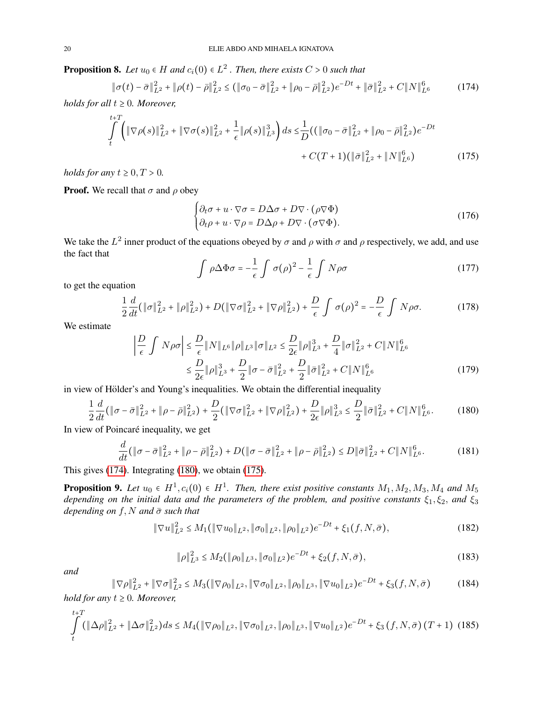**Proposition 8.** Let  $u_0 \in H$  and  $c_i(0) \in L^2$  . Then, there exists  $C > 0$  such that

<span id="page-19-0"></span>
$$
\|\sigma(t) - \bar{\sigma}\|_{L^2}^2 + \|\rho(t) - \bar{\rho}\|_{L^2}^2 \le (\|\sigma_0 - \bar{\sigma}\|_{L^2}^2 + \|\rho_0 - \bar{\rho}\|_{L^2}^2)e^{-Dt} + \|\bar{\sigma}\|_{L^2}^2 + C\|N\|_{L^6}^6 \tag{174}
$$

*holds for all*  $t \geq 0$ *. Moreover,* 

$$
\int_{t}^{t+T} \left( \|\nabla \rho(s)\|_{L^{2}}^{2} + \|\nabla \sigma(s)\|_{L^{2}}^{2} + \frac{1}{\epsilon} \|\rho(s)\|_{L^{3}}^{3} \right) ds \leq \frac{1}{D} \left( \left( \|\sigma_{0} - \bar{\sigma}\|_{L^{2}}^{2} + \|\rho_{0} - \bar{\rho}\|_{L^{2}}^{2} \right) e^{-Dt} + C(T+1) \left( \|\bar{\sigma}\|_{L^{2}}^{2} + \|N\|_{L^{6}}^{6} \right) \right)
$$
(175)

*holds for any*  $t \geq 0, T > 0$ *.* 

**Proof.** We recall that  $\sigma$  and  $\rho$  obey

<span id="page-19-2"></span>
$$
\begin{cases} \partial_t \sigma + u \cdot \nabla \sigma = D \Delta \sigma + D \nabla \cdot (\rho \nabla \Phi) \\ \partial_t \rho + u \cdot \nabla \rho = D \Delta \rho + D \nabla \cdot (\sigma \nabla \Phi). \end{cases}
$$
(176)

We take the  $L^2$  inner product of the equations obeyed by  $\sigma$  and  $\rho$  with  $\sigma$  and  $\rho$  respectively, we add, and use the fact that

$$
\int \rho \Delta \Phi \sigma = -\frac{1}{\epsilon} \int \sigma(\rho)^2 - \frac{1}{\epsilon} \int N \rho \sigma \tag{177}
$$

to get the equation

$$
\frac{1}{2}\frac{d}{dt}\left(\|\sigma\|_{L^{2}}^{2}+\|\rho\|_{L^{2}}^{2}\right)+D\left(\|\nabla\sigma\|_{L^{2}}^{2}+\|\nabla\rho\|_{L^{2}}^{2}\right)+\frac{D}{\epsilon}\int\sigma(\rho)^{2}=-\frac{D}{\epsilon}\int N\rho\sigma.
$$
 (178)

We estimate

$$
\left| \frac{D}{\epsilon} \int N \rho \sigma \right| \leq \frac{D}{\epsilon} \| N \|_{L^6} \| \rho \|_{L^3} \| \sigma \|_{L^2} \leq \frac{D}{2\epsilon} \| \rho \|_{L^3}^3 + \frac{D}{4} \| \sigma \|_{L^2}^2 + C \| N \|_{L^6}^6
$$
  

$$
\leq \frac{D}{2\epsilon} \| \rho \|_{L^3}^3 + \frac{D}{2} \| \sigma - \bar{\sigma} \|_{L^2}^2 + \frac{D}{2} \| \bar{\sigma} \|_{L^2}^2 + C \| N \|_{L^6}^6
$$
 (179)

in view of Hölder's and Young's inequalities. We obtain the differential inequality

<span id="page-19-1"></span>
$$
\frac{1}{2}\frac{d}{dt}\left(\|\sigma-\bar{\sigma}\|_{L^{2}}^{2}+\|\rho-\bar{\rho}\|_{L^{2}}^{2}\right)+\frac{D}{2}\left(\|\nabla\sigma\|_{L^{2}}^{2}+\|\nabla\rho\|_{L^{2}}^{2}\right)+\frac{D}{2\epsilon}\|\rho\|_{L^{3}}^{3}\leq\frac{D}{2}\|\bar{\sigma}\|_{L^{2}}^{2}+C\|N\|_{L^{6}}^{6}.\tag{180}
$$

In view of Poincaré inequality, we get

$$
\frac{d}{dt}(\|\sigma - \bar{\sigma}\|_{L^2}^2 + \|\rho - \bar{\rho}\|_{L^2}^2) + D(\|\sigma - \bar{\sigma}\|_{L^2}^2 + \|\rho - \bar{\rho}\|_{L^2}^2) \le D\|\bar{\sigma}\|_{L^2}^2 + C\|N\|_{L^6}^6. \tag{181}
$$

This gives [\(174\)](#page-19-0). Integrating [\(180\)](#page-19-1), we obtain [\(175\)](#page-19-2).

**Proposition 9.** Let  $u_0 \in H^1$ ,  $c_i(0) \in H^1$ . Then, there exist positive constants  $M_1, M_2, M_3, M_4$  and  $M_5$ *depending on the initial data and the parameters of the problem, and positive constants*  $\xi_1, \xi_2$ , *and*  $\xi_3$ *depending on*  $f$ , *N and*  $\bar{\sigma}$  *such that* 

$$
\|\nabla u\|_{L^2}^2 \le M_1(\|\nabla u_0\|_{L^2}, \|\sigma_0\|_{L^2}, \|\rho_0\|_{L^2})e^{-Dt} + \xi_1(f, N, \bar{\sigma}), \tag{182}
$$

<span id="page-19-3"></span>
$$
\|\rho\|_{L^3}^2 \le M_2(\|\rho_0\|_{L^3}, \|\sigma_0\|_{L^2})e^{-Dt} + \xi_2(f, N, \bar{\sigma}),\tag{183}
$$

*and*

<span id="page-19-4"></span>
$$
\|\nabla \rho\|_{L^2}^2 + \|\nabla \sigma\|_{L^2}^2 \le M_3(\|\nabla \rho_0\|_{L^2}, \|\nabla \sigma_0\|_{L^2}, \|\rho_0\|_{L^3}, \|\nabla u_0\|_{L^2})e^{-Dt} + \xi_3(f, N, \bar{\sigma})
$$
(184)

*hold for any*  $t \geq 0$ *. Moreover,* 

<span id="page-19-5"></span>
$$
\int_{t}^{t+T} (\|\Delta \rho\|_{L^{2}}^{2} + \|\Delta \sigma\|_{L^{2}}^{2}) ds \le M_{4}(\|\nabla \rho_{0}\|_{L^{2}}, \|\nabla \sigma_{0}\|_{L^{2}}, \|\rho_{0}\|_{L^{3}}, \|\nabla u_{0}\|_{L^{2}}) e^{-Dt} + \xi_{3} (f, N, \bar{\sigma}) (T+1)
$$
(185)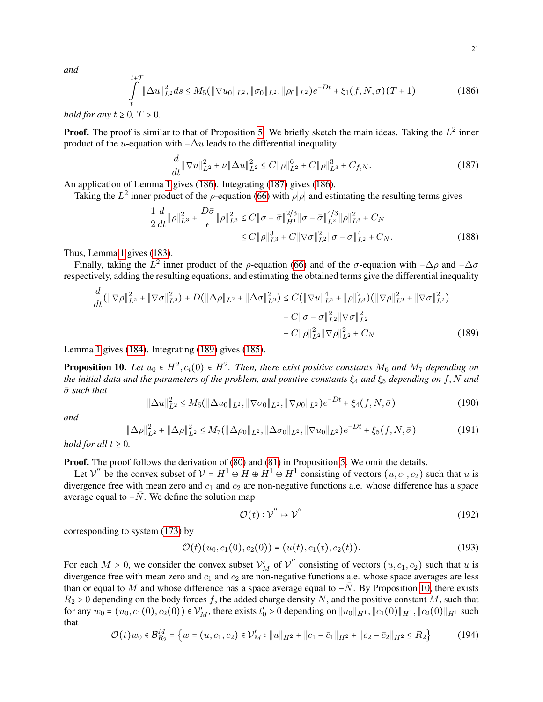<span id="page-20-0"></span>
$$
\int_{t}^{t+T} \|\Delta u\|_{L^{2}}^{2} ds \leq M_{5}(\|\nabla u_{0}\|_{L^{2}}, \|\sigma_{0}\|_{L^{2}}, \|\rho_{0}\|_{L^{2}})e^{-Dt} + \xi_{1}(f, N, \bar{\sigma})(T+1)
$$
\n(186)

*hold for any*  $t \geq 0$ ,  $T > 0$ .

**Proof.** The proof is similar to that of Proposition [5.](#page-9-6) We briefly sketch the main ideas. Taking the  $L^2$  inner product of the u-equation with  $-\Delta u$  leads to the differential inequality

<span id="page-20-1"></span>
$$
\frac{d}{dt} \|\nabla u\|_{L^2}^2 + \nu \|\Delta u\|_{L^2}^2 \le C \|\rho\|_{L^2}^6 + C \|\rho\|_{L^3}^3 + C_{f,N}.\tag{187}
$$

An application of Lemma [1](#page-2-1) gives [\(186\)](#page-20-0). Integrating [\(187\)](#page-20-1) gives [\(186\)](#page-20-0).

Taking the  $L^2$  inner product of the  $\rho$ -equation [\(66\)](#page-8-1) with  $\rho|\rho|$  and estimating the resulting terms gives

$$
\frac{1}{2}\frac{d}{dt}\|\rho\|_{L^3}^2 + \frac{D\bar{\sigma}}{\epsilon}\|\rho\|_{L^3}^2 \le C\|\sigma - \bar{\sigma}\|_{H^1}^{2/3}\|\sigma - \bar{\sigma}\|_{L^2}^{4/3}\|\rho\|_{L^3}^2 + C_N
$$
  

$$
\le C\|\rho\|_{L^3}^3 + C\|\nabla\sigma\|_{L^2}^2\|\sigma - \bar{\sigma}\|_{L^2}^4 + C_N.
$$
 (188)

Thus, Lemma [1](#page-2-1) gives [\(183\)](#page-19-3).

Finally, taking the  $L^2$  inner product of the  $\rho$ -equation [\(66\)](#page-8-1) and of the  $\sigma$ -equation with  $-\Delta \rho$  and  $-\Delta \sigma$ respectively, adding the resulting equations, and estimating the obtained terms give the differential inequality

$$
\frac{d}{dt}(\|\nabla\rho\|_{L^{2}}^{2} + \|\nabla\sigma\|_{L^{2}}^{2}) + D(\|\Delta\rho\|_{L^{2}} + \|\Delta\sigma\|_{L^{2}}^{2}) \leq C(\|\nabla u\|_{L^{2}}^{4} + \|\rho\|_{L^{3}}^{2})(\|\nabla\rho\|_{L^{2}}^{2} + \|\nabla\sigma\|_{L^{2}}^{2}) + C\|\sigma - \bar{\sigma}\|_{L^{2}}^{2}\|\nabla\sigma\|_{L^{2}}^{2} + C_{N} \tag{189}
$$

Lemma [1](#page-2-1) gives [\(184\)](#page-19-4). Integrating [\(189\)](#page-20-2) gives [\(185\)](#page-19-5).

<span id="page-20-3"></span>**Proposition 10.** Let  $u_0 \in H^2$ ,  $c_i(0) \in H^2$ . Then, there exist positive constants  $M_6$  and  $M_7$  depending on *the initial data and the parameters of the problem, and positive constants*  $\xi_4$  *and*  $\xi_5$  *depending on* f, N *and* σ¯ *such that*

$$
\|\Delta u\|_{L^2}^2 \le M_6(\|\Delta u_0\|_{L^2}, \|\nabla \sigma_0\|_{L^2}, \|\nabla \rho_0\|_{L^2})e^{-Dt} + \xi_4(f, N, \bar{\sigma})
$$
\n(190)

*and*

$$
\|\Delta \rho\|_{L^2}^2 + \|\Delta \rho\|_{L^2}^2 \le M_7(\|\Delta \rho_0\|_{L^2}, \|\Delta \sigma_0\|_{L^2}, \|\nabla u_0\|_{L^2})e^{-Dt} + \xi_5(f, N, \bar{\sigma})
$$
(191)

*hold for all*  $t \geq 0$ *.* 

**Proof.** The proof follows the derivation of [\(80\)](#page-9-4) and [\(81\)](#page-9-5) in Proposition [5.](#page-9-6) We omit the details.

Let  $V''$  be the convex subset of  $V = H^1 \oplus H \oplus H^1 \oplus H^1$  consisting of vectors  $(u, c_1, c_2)$  such that u is divergence free with mean zero and  $c_1$  and  $c_2$  are non-negative functions a.e. whose difference has a space average equal to  $-\bar{N}$ . We define the solution map

<span id="page-20-2"></span>
$$
\mathcal{O}(t): \mathcal{V}^{''} \mapsto \mathcal{V}^{''}
$$
 (192)

corresponding to system [\(173\)](#page-18-1) by

$$
\mathcal{O}(t)(u_0, c_1(0), c_2(0)) = (u(t), c_1(t), c_2(t)).
$$
\n(193)

For each  $M > 0$ , we consider the convex subset  $\mathcal{V}'_M$  of  $\mathcal{V}''$  consisting of vectors  $(u, c_1, c_2)$  such that u is divergence free with mean zero and  $c_1$  and  $c_2$  are non-negative functions a.e. whose space averages are less than or equal to M and whose difference has a space average equal to  $-\bar{N}$ . By Proposition [10,](#page-20-3) there exists  $R_2 > 0$  depending on the body forces f, the added charge density N, and the positive constant M, such that for any  $w_0 = (u_0, c_1(0), c_2(0)) \in \mathcal{V}'_M$ , there exists  $t'_0 > 0$  depending on  $||u_0||_{H^1}$ ,  $||c_1(0)||_{H^1}$ ,  $||c_2(0)||_{H^1}$  such that

$$
\mathcal{O}(t)w_0 \in \mathcal{B}_{R_2}^M = \left\{ w = (u, c_1, c_2) \in \mathcal{V}'_M : \|u\|_{H^2} + \|c_1 - \bar{c}_1\|_{H^2} + \|c_2 - \bar{c}_2\|_{H^2} \le R_2 \right\}
$$
(194)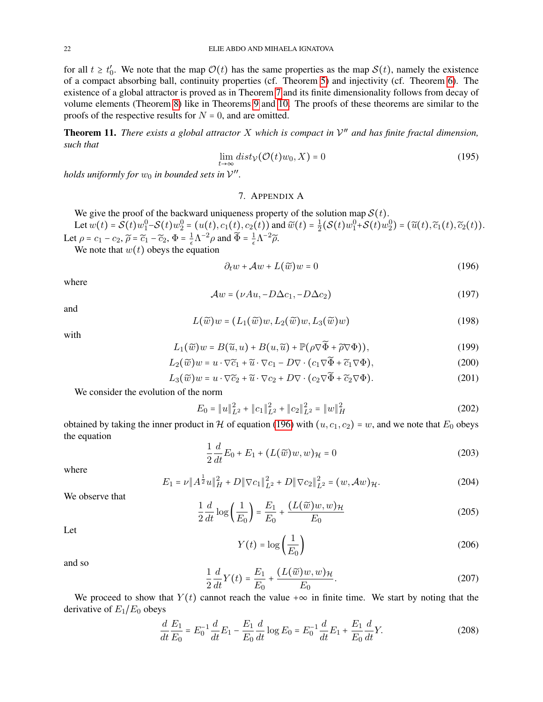for all  $t \geq t'_0$ . We note that the map  $\mathcal{O}(t)$  has the same properties as the map  $\mathcal{S}(t)$ , namely the existence of a compact absorbing ball, continuity properties (cf. Theorem [5\)](#page-14-0) and injectivity (cf. Theorem [6\)](#page-16-0). The existence of a global attractor is proved as in Theorem [7](#page-17-2) and its finite dimensionality follows from decay of volume elements (Theorem [8\)](#page-18-2) like in Theorems [9](#page-18-3) and [10.](#page-18-4) The proofs of these theorems are similar to the proofs of the respective results for  $N = 0$ , and are omitted.

Theorem 11. *There exists a global attractor* X *which is compact in* V ′′ *and has finite fractal dimension, such that*

$$
\lim_{t \to \infty} dist_{\mathcal{V}}(\mathcal{O}(t)w_0, X) = 0
$$
\n(195)

*holds uniformly for*  $w_0$  *in bounded sets in*  $V''$ .

# 7. APPENDIX A

We give the proof of the backward uniqueness property of the solution map  $S(t)$ . Let  $w(t) = \mathcal{S}(t)w_1^0 - \mathcal{S}(t)w_2^0 = (u(t), c_1(t), c_2(t))$  and  $\widetilde{w}(t) = \frac{1}{2}$  $\frac{1}{2}(\mathcal{S}(t)w_1^0+\mathcal{S}(t)w_2^0) = (\widetilde{u}(t),\widetilde{c}_1(t),\widetilde{c}_2(t)).$ Let  $\rho = c_1 - c_2$ ,  $\widetilde{\rho} = \widetilde{c}_1 - \widetilde{c}_2$ ,  $\Phi = \frac{1}{\epsilon}$  $\frac{1}{\epsilon} \Lambda^{-2} \rho$  and  $\widetilde{\Phi} = \frac{1}{\epsilon}$  $rac{1}{\epsilon}$ Λ<sup>-2</sup> $\widetilde{\rho}$ .

We note that  $w(t)$  obeys the equation

<span id="page-21-0"></span>
$$
\partial_t w + \mathcal{A}w + L(\widetilde{w})w = 0 \tag{196}
$$

where

$$
\mathcal{A}w = (\nu Au, -D\Delta c_1, -D\Delta c_2) \tag{197}
$$

and

$$
L(\widetilde{w})w = (L_1(\widetilde{w})w, L_2(\widetilde{w})w, L_3(\widetilde{w})w)
$$
\n(198)

with

$$
L_1(\widetilde{w})w = B(\widetilde{u}, u) + B(u, \widetilde{u}) + \mathbb{P}(\rho \nabla \widetilde{\Phi} + \widetilde{\rho} \nabla \Phi)),
$$
\n(199)

$$
L_2(\widetilde{w})w = u \cdot \nabla \widetilde{c}_1 + \widetilde{u} \cdot \nabla c_1 - D \nabla \cdot (c_1 \nabla \widetilde{\Phi} + \widetilde{c}_1 \nabla \Phi), \tag{200}
$$

$$
L_3(\widetilde{w})w = u \cdot \nabla \widetilde{c}_2 + \widetilde{u} \cdot \nabla c_2 + D \nabla \cdot (c_2 \nabla \widetilde{\Phi} + \widetilde{c}_2 \nabla \Phi). \tag{201}
$$

We consider the evolution of the norm

$$
E_0 = \|u\|_{L^2}^2 + \|c_1\|_{L^2}^2 + \|c_2\|_{L^2}^2 = \|w\|_H^2
$$
\n(202)

obtained by taking the inner product in H of equation [\(196\)](#page-21-0) with  $(u, c_1, c_2) = w$ , and we note that  $E_0$  obeys the equation

$$
\frac{1}{2}\frac{d}{dt}E_0 + E_1 + (L(\tilde{w})w, w)_{\mathcal{H}} = 0
$$
\n(203)

where

$$
E_1 = \nu \|A^{\frac{1}{2}}u\|_H^2 + D\|\nabla c_1\|_{L^2}^2 + D\|\nabla c_2\|_{L^2}^2 = (w, \mathcal{A}w)_{\mathcal{H}}.\tag{204}
$$

We observe that

$$
\frac{1}{2}\frac{d}{dt}\log\left(\frac{1}{E_0}\right) = \frac{E_1}{E_0} + \frac{(L(\widetilde{w})w, w)_{\mathcal{H}}}{E_0}
$$
\n(205)

Let

$$
Y(t) = \log\left(\frac{1}{E_0}\right) \tag{206}
$$

and so

$$
\frac{1}{2}\frac{d}{dt}Y(t) = \frac{E_1}{E_0} + \frac{(L(\tilde{w})w, w)_{\mathcal{H}}}{E_0}.
$$
\n(207)

We proceed to show that  $Y(t)$  cannot reach the value + $\infty$  in finite time. We start by noting that the derivative of  $E_1/E_0$  obeys

$$
\frac{d}{dt}\frac{E_1}{E_0} = E_0^{-1}\frac{d}{dt}E_1 - \frac{E_1}{E_0}\frac{d}{dt}\log E_0 = E_0^{-1}\frac{d}{dt}E_1 + \frac{E_1}{E_0}\frac{d}{dt}Y.
$$
\n(208)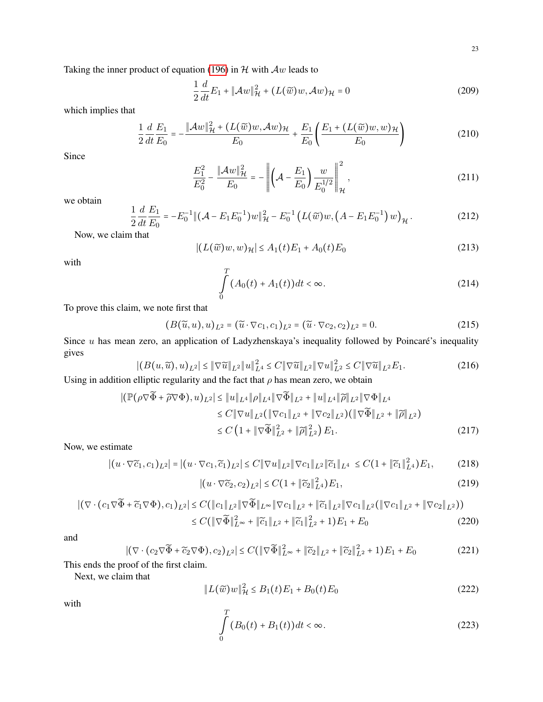Taking the inner product of equation [\(196\)](#page-21-0) in  $H$  with  $Aw$  leads to

$$
\frac{1}{2}\frac{d}{dt}E_1 + \|\mathcal{A}w\|_{\mathcal{H}}^2 + (L(\widetilde{w})w, \mathcal{A}w)_{\mathcal{H}} = 0
$$
\n(209)

which implies that

$$
\frac{1}{2}\frac{d}{dt}\frac{E_1}{E_0} = -\frac{\|\mathcal{A}w\|_{\mathcal{H}}^2 + (L(\widetilde{w})w, \mathcal{A}w)_{\mathcal{H}}}{E_0} + \frac{E_1}{E_0} \left(\frac{E_1 + (L(\widetilde{w})w, w)_{\mathcal{H}}}{E_0}\right) \tag{210}
$$

Since

$$
\frac{E_1^2}{E_0^2} - \frac{\|\mathcal{A}w\|_{\mathcal{H}}^2}{E_0} = -\left\|\left(\mathcal{A} - \frac{E_1}{E_0}\right)\frac{w}{E_0^{1/2}}\right\|_{\mathcal{H}}^2,\tag{211}
$$

we obtain

$$
\frac{1}{2}\frac{d}{dt}\frac{E_1}{E_0} = -E_0^{-1} \| (\mathcal{A} - E_1 E_0^{-1}) w \|_{\mathcal{H}}^2 - E_0^{-1} \left( L(\widetilde{w}) w, \left( A - E_1 E_0^{-1} \right) w \right)_{\mathcal{H}}.
$$
\n(212)

Now, we claim that

$$
|(L(\widetilde{w})w, w)_{\mathcal{H}}| \le A_1(t)E_1 + A_0(t)E_0
$$
\n(213)

with

$$
\int_{0}^{T} (A_0(t) + A_1(t))dt < \infty.
$$
\n(214)

To prove this claim, we note first that

$$
(B(\widetilde{u},u),u)_{L^2} = (\widetilde{u} \cdot \nabla c_1, c_1)_{L^2} = (\widetilde{u} \cdot \nabla c_2, c_2)_{L^2} = 0.
$$
\n(215)

Since  $u$  has mean zero, an application of Ladyzhenskaya's inequality followed by Poincaré's inequality gives

$$
|(B(u,\widetilde{u}),u)_{L^{2}}| \leq \|\nabla \widetilde{u}\|_{L^{2}} \|u\|_{L^{4}}^{2} \leq C \|\nabla \widetilde{u}\|_{L^{2}} \|\nabla u\|_{L^{2}}^{2} \leq C \|\nabla \widetilde{u}\|_{L^{2}} E_{1}.
$$
\n(216)

Using in addition elliptic regularity and the fact that  $\rho$  has mean zero, we obtain

$$
\begin{split} |(\mathbb{P}(\rho \nabla \widetilde{\Phi} + \widetilde{\rho} \nabla \Phi), u)_{L^{2}}| &\leq \|u\|_{L^{4}} \|\rho\|_{L^{4}} \|\nabla \widetilde{\Phi}\|_{L^{2}} + \|u\|_{L^{4}} \|\widetilde{\rho}\|_{L^{2}} \|\nabla \Phi\|_{L^{4}} \\ &\leq C \|\nabla u\|_{L^{2}} (\|\nabla c_{1}\|_{L^{2}} + \|\nabla c_{2}\|_{L^{2}}) (\|\nabla \widetilde{\Phi}\|_{L^{2}} + \|\widetilde{\rho}\|_{L^{2}}) \\ &\leq C \left(1 + \|\nabla \widetilde{\Phi}\|_{L^{2}}^{2} + \|\widetilde{\rho}\|_{L^{2}}^{2}\right) E_{1}. \end{split} \tag{217}
$$

Now, we estimate

$$
|(u\cdot\nabla\widetilde{c}_1,c_1)_{L^2}|=|(u\cdot\nabla c_1,\widetilde{c}_1)_{L^2}|\leq C\|\nabla u\|_{L^2}\|\nabla c_1\|_{L^2}\|\widetilde{c}_1\|_{L^4}\leq C(1+\|\widetilde{c}_1\|_{L^4}^2)E_1,
$$
(218)

$$
|(u \cdot \nabla \widetilde{c}_2, c_2)_{L^2}| \le C(1 + ||\widetilde{c}_2||_{L^4}^2)E_1,
$$
\n(219)

$$
\begin{split} |(\nabla \cdot (c_1 \nabla \widetilde{\Phi} + \widetilde{c}_1 \nabla \Phi), c_1)_{L^2}| &\leq C \big( \|c_1\|_{L^2} \|\nabla \widetilde{\Phi}\|_{L^\infty} \|\nabla c_1\|_{L^2} + \|\widetilde{c}_1\|_{L^2} \|\nabla c_1\|_{L^2} (\|\nabla c_1\|_{L^2} + \|\nabla c_2\|_{L^2}) \big) \\ &\leq C \big( \|\nabla \widetilde{\Phi}\|_{L^\infty}^2 + \|\widetilde{c}_1\|_{L^2} + \|\widetilde{c}_1\|_{L^2}^2 + 1 \big) E_1 + E_0 \end{split} \tag{220}
$$

and

$$
\left| \left( \nabla \cdot (c_2 \nabla \widetilde{\Phi} + \widetilde{c}_2 \nabla \Phi), c_2 \right)_{L^2} \right| \le C \left( \left\| \nabla \widetilde{\Phi} \right\|_{L^\infty}^2 + \left\| \widetilde{c}_2 \right\|_{L^2} + \left\| \widetilde{c}_2 \right\|_{L^2}^2 + 1 \right) E_1 + E_0 \tag{221}
$$

This ends the proof of the first claim.

Next, we claim that

$$
||L(\widetilde{w})w||_{\mathcal{H}}^2 \le B_1(t)E_1 + B_0(t)E_0
$$
\n(222)

with

$$
\int_{0}^{T} (B_0(t) + B_1(t))dt < \infty.
$$
\n(223)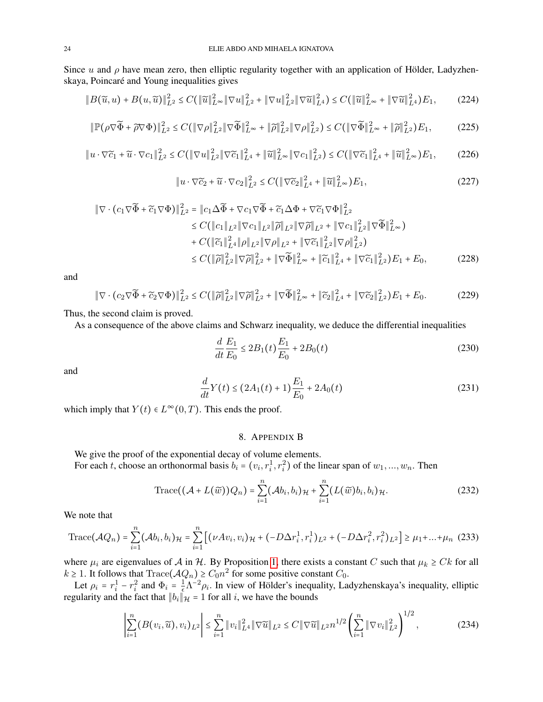Since u and  $\rho$  have mean zero, then elliptic regularity together with an application of Hölder, Ladyzhenskaya, Poincaré and Young inequalities gives

$$
||B(\widetilde{u}, u) + B(u, \widetilde{u})||_{L^{2}}^{2} \leq C(||\widetilde{u}||_{L^{\infty}}^{2} ||\nabla u||_{L^{2}}^{2} + ||\nabla u||_{L^{2}}^{2} ||\nabla \widetilde{u}||_{L^{4}}^{2}) \leq C(||\widetilde{u}||_{L^{\infty}}^{2} + ||\nabla \widetilde{u}||_{L^{4}}^{2})E_{1},
$$
 (224)

$$
\|\mathbb{P}(\rho \nabla \widetilde{\Phi} + \widetilde{\rho} \nabla \Phi)\|_{L^2}^2 \le C \left(\|\nabla \rho\|_{L^2}^2 \|\nabla \widetilde{\Phi}\|_{L^\infty}^2 + \|\widetilde{\rho}\|_{L^2}^2 \|\nabla \rho\|_{L^2}^2\right) \le C \left(\|\nabla \widetilde{\Phi}\|_{L^\infty}^2 + \|\widetilde{\rho}\|_{L^2}^2\right) E_1,\tag{225}
$$

$$
\|u\cdot\nabla\widetilde{c}_1+\widetilde{u}\cdot\nabla c_1\|_{L^2}^2 \leq C\big(\|\nabla u\|_{L^2}^2\|\nabla\widetilde{c}_1\|_{L^4}^2+\|\widetilde{u}\|_{L^\infty}^2\|\nabla c_1\|_{L^2}^2\big) \leq C\big(\|\nabla\widetilde{c}_1\|_{L^4}^2+\|\widetilde{u}\|_{L^\infty}^2\big)E_1,\tag{226}
$$

$$
\|u \cdot \nabla \widetilde{c}_2 + \widetilde{u} \cdot \nabla c_2\|_{L^2}^2 \le C \left(\|\nabla \widetilde{c}_2\|_{L^4}^2 + \|\widetilde{u}\|_{L^\infty}^2\right) E_1,\tag{227}
$$

$$
\|\nabla \cdot (c_1 \nabla \widetilde{\Phi} + \widetilde{c}_1 \nabla \Phi)\|_{L^2}^2 = \|c_1 \Delta \widetilde{\Phi} + \nabla c_1 \nabla \widetilde{\Phi} + \widetilde{c}_1 \Delta \Phi + \nabla \widetilde{c}_1 \nabla \Phi\|_{L^2}^2
$$
  
\n
$$
\leq C (\|c_1\|_{L^2} \|\nabla c_1\|_{L^2} \|\widetilde{\rho}\|_{L^2} \|\nabla \widetilde{\rho}\|_{L^2} + \|\nabla c_1\|_{L^2}^2 \|\nabla \widetilde{\Phi}\|_{L^\infty}^2)
$$
  
\n
$$
+ C (\|\widetilde{c}_1\|_{L^4}^2 \|\rho\|_{L^2} \|\nabla \rho\|_{L^2} + \|\nabla \widetilde{c}_1\|_{L^2}^2 \|\nabla \rho\|_{L^2}^2)
$$
  
\n
$$
\leq C (\|\widetilde{\rho}\|_{L^2}^2 \|\nabla \widetilde{\rho}\|_{L^2}^2 + \|\nabla \widetilde{\Phi}\|_{L^\infty}^2 + \|\widetilde{c}_1\|_{L^4}^2 + \|\nabla \widetilde{c}_1\|_{L^2}^2) E_1 + E_0,
$$
 (228)

and

$$
\|\nabla \cdot (c_2 \nabla \widetilde{\Phi} + \widetilde{c}_2 \nabla \Phi)\|_{L^2}^2 \le C \left( \|\widetilde{\rho}\|_{L^2}^2 \|\nabla \widetilde{\rho}\|_{L^2}^2 + \|\nabla \widetilde{\Phi}\|_{L^\infty}^2 + \|\widetilde{c}_2\|_{L^4}^2 + \|\nabla \widetilde{c}_2\|_{L^2}^2 \right) E_1 + E_0. \tag{229}
$$

Thus, the second claim is proved.

As a consequence of the above claims and Schwarz inequality, we deduce the differential inequalities

$$
\frac{d}{dt}\frac{E_1}{E_0} \le 2B_1(t)\frac{E_1}{E_0} + 2B_0(t)
$$
\n(230)

and

$$
\frac{d}{dt}Y(t) \le (2A_1(t) + 1)\frac{E_1}{E_0} + 2A_0(t)
$$
\n(231)

which imply that  $Y(t) \in L^{\infty}(0,T)$ . This ends the proof.

# <span id="page-23-0"></span>8. APPENDIX B

We give the proof of the exponential decay of volume elements. For each t, choose an orthonormal basis  $b_i = (v_i, r_i^1, r_i^2)$  of the linear span of  $w_1, ..., w_n$ . Then

$$
\operatorname{Trace}((\mathcal{A}+L(\widetilde{w}))Q_n)=\sum_{i=1}^n(\mathcal{A}b_i,b_i)_{\mathcal{H}}+\sum_{i=1}^n(L(\widetilde{w})b_i,b_i)_{\mathcal{H}}.
$$
\n(232)

We note that

∣

Trace
$$
(\mathcal{A}Q_n)
$$
 =  $\sum_{i=1}^n (\mathcal{A}b_i, b_i)_{\mathcal{H}} = \sum_{i=1}^n \left[ (\nu A v_i, v_i)_{\mathcal{H}} + (-D \Delta r_i^1, r_i^1)_{L^2} + (-D \Delta r_i^2, r_i^2)_{L^2} \right] \ge \mu_1 + ... + \mu_n$  (233)

where  $\mu_i$  are eigenvalues of A in H. By Proposition [1,](#page-2-3) there exists a constant C such that  $\mu_k \geq Ck$  for all  $k \geq 1$ . It follows that  $Trace(\mathcal{A}Q_n) \geq C_0 n^2$  for some positive constant  $C_0$ .

Let  $\rho_i = r_i^1 - r_i^2$  and  $\Phi_i = \frac{1}{\epsilon}$  $\frac{1}{2} \Lambda^{-2} \rho_i$ . In view of Hölder's inequality, Ladyzhenskaya's inequality, elliptic regularity and the fact that  $||b_i||_{\mathcal{H}}^2 = 1$  for all i, we have the bounds

$$
\sum_{i=1}^{n} (B(v_i, \widetilde{u}), v_i)_{L^2} \leq \sum_{i=1}^{n} \|v_i\|_{L^4}^2 \|\nabla \widetilde{u}\|_{L^2} \leq C \|\nabla \widetilde{u}\|_{L^2} n^{1/2} \left(\sum_{i=1}^{n} \|\nabla v_i\|_{L^2}^2\right)^{1/2},
$$
\n(234)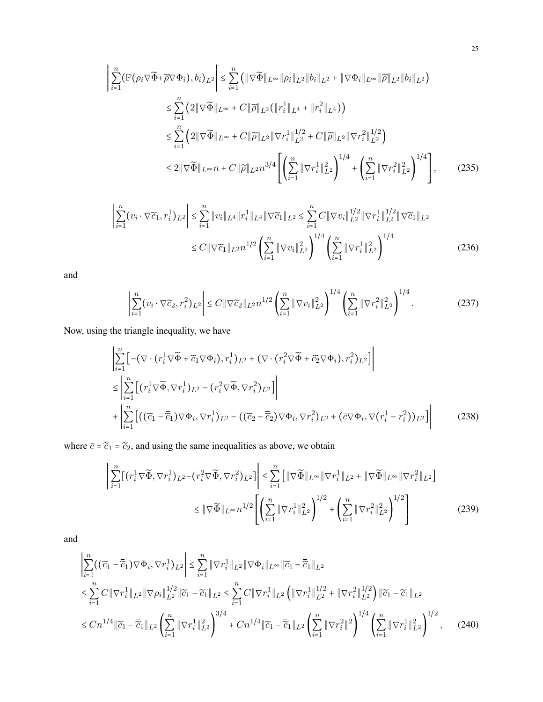$$
\left| \sum_{i=1}^{n} (\mathbb{P}(\rho_{i} \nabla \widetilde{\Phi} + \widetilde{\rho} \nabla \Phi_{i}), b_{i})_{L^{2}} \right| \leq \sum_{i=1}^{n} (\|\nabla \widetilde{\Phi}\|_{L^{\infty}} \|\rho_{i}\|_{L^{2}} \|b_{i}\|_{L^{2}} + \|\nabla \Phi_{i}\|_{L^{\infty}} \|\widetilde{\rho}\|_{L^{2}} \|b_{i}\|_{L^{2}})
$$
  
\n
$$
\leq \sum_{i=1}^{n} (2\|\nabla \widetilde{\Phi}\|_{L^{\infty}} + C\|\widetilde{\rho}\|_{L^{2}} (\|r_{i}^{1}\|_{L^{4}} + \|r_{i}^{2}\|_{L^{4}}))
$$
  
\n
$$
\leq \sum_{i=1}^{n} (2\|\nabla \widetilde{\Phi}\|_{L^{\infty}} + C\|\widetilde{\rho}\|_{L^{2}} \|\nabla r_{i}^{1}\|_{L^{2}}^{1/2} + C\|\widetilde{\rho}\|_{L^{2}} \|\nabla r_{i}^{2}\|_{L^{2}}^{1/2})
$$
  
\n
$$
\leq 2\|\nabla \widetilde{\Phi}\|_{L^{\infty}} n + C\|\widetilde{\rho}\|_{L^{2}} n^{3/4} \left[ \left( \sum_{i=1}^{n} \|\nabla r_{i}^{1}\|_{L^{2}}^{2} \right)^{1/4} + \left( \sum_{i=1}^{n} \|\nabla r_{i}^{2}\|_{L^{2}}^{2} \right)^{1/4} \right],
$$
 (235)

$$
\sum_{i=1}^{n} (v_i \cdot \nabla \widetilde{c}_1, r_i^1)_{L^2} \le \sum_{i=1}^{n} \|v_i\|_{L^4} \|r_i^1\|_{L^4} \|\nabla \widetilde{c}_1\|_{L^2} \le \sum_{i=1}^{n} C \|\nabla v_i\|_{L^2}^{1/2} \|\nabla r_i^1\|_{L^2}^{1/2} \|\nabla \widetilde{c}_1\|_{L^2}
$$
\n
$$
\le C \|\nabla \widetilde{c}_1\|_{L^2} n^{1/2} \left(\sum_{i=1}^{n} \|\nabla v_i\|_{L^2}^2\right)^{1/4} \left(\sum_{i=1}^{n} \|\nabla r_i^1\|_{L^2}^2\right)^{1/4} \tag{236}
$$

$$
\left| \sum_{i=1}^{n} (v_i \cdot \nabla \widetilde{c}_2, r_i^2)_{L^2} \right| \le C \| \nabla \widetilde{c}_2 \|_{L^2} n^{1/2} \left( \sum_{i=1}^{n} \| \nabla v_i \|_{L^2}^2 \right)^{1/4} \left( \sum_{i=1}^{n} \| \nabla r_i^2 \|_{L^2}^2 \right)^{1/4}.
$$
 (237)

Now, using the triangle inequality, we have

∣

$$
\left| \sum_{i=1}^{n} \left[ -(\nabla \cdot (r_i^1 \nabla \widetilde{\Phi} + \widetilde{c}_1 \nabla \Phi_i), r_i^1)_{L^2} + (\nabla \cdot (r_i^2 \nabla \widetilde{\Phi} + \widetilde{c}_2 \nabla \Phi_i), r_i^2)_{L^2} \right] \right|
$$
  
\n
$$
\leq \left| \sum_{i=1}^{n} \left[ (r_i^1 \nabla \widetilde{\Phi}, \nabla r_i^1)_{L^2} - (r_i^2 \nabla \widetilde{\Phi}, \nabla r_i^2)_{L^2} \right] \right|
$$
  
\n
$$
+ \left| \sum_{i=1}^{n} \left[ ((\widetilde{c}_1 - \overline{\widetilde{c}}_1) \nabla \Phi_i, \nabla r_i^1)_{L^2} - ((\widetilde{c}_2 - \overline{\widetilde{c}}_2) \nabla \Phi_i, \nabla r_i^2)_{L^2} + (\overline{c} \nabla \Phi_i, \nabla (r_i^1 - r_i^2))_{L^2} \right] \right|
$$
(238)

where  $\bar{c} = \bar{\tilde{c}}_1 = \bar{\tilde{c}}_2$ , and using the same inequalities as above, we obtain

$$
\left| \sum_{i=1}^{n} \left[ (r_i^1 \nabla \widetilde{\Phi}, \nabla r_i^1)_{L^2} - (r_i^2 \nabla \widetilde{\Phi}, \nabla r_i^2)_{L^2} \right] \right| \leq \sum_{i=1}^{n} \left[ \| \nabla \widetilde{\Phi} \|_{L^{\infty}} \| \nabla r_i^1 \|_{L^2} + \| \nabla \widetilde{\Phi} \|_{L^{\infty}} \| \nabla r_i^2 \|_{L^2} \right]
$$
  

$$
\leq \| \nabla \widetilde{\Phi} \|_{L^{\infty}} n^{1/2} \left[ \left( \sum_{i=1}^{n} \| \nabla r_i^1 \|_{L^2}^2 \right)^{1/2} + \left( \sum_{i=1}^{n} \| \nabla r_i^2 \|_{L^2}^2 \right)^{1/2} \right]
$$
(239)

and

$$
\left| \sum_{i=1}^{n} \left( (\widetilde{c}_{1} - \overline{\widetilde{c}}_{1}) \nabla \Phi_{i}, \nabla r_{i}^{1} \right)_{L^{2}} \right| \leq \sum_{i=1}^{n} \|\nabla r_{i}^{1}\|_{L^{2}} \|\nabla \Phi_{i}\|_{L^{\infty}} \|\widetilde{c}_{1} - \overline{\widetilde{c}}_{1}\|_{L^{2}} \n\leq \sum_{i=1}^{n} C \|\nabla r_{i}^{1}\|_{L^{2}} \|\nabla \rho_{i}\|_{L^{2}}^{1/2} \|\widetilde{c}_{1} - \overline{\widetilde{c}}_{1}\|_{L^{2}} \leq \sum_{i=1}^{n} C \|\nabla r_{i}^{1}\|_{L^{2}} \left( \|\nabla r_{i}^{1}\|_{L^{2}}^{1/2} + \|\nabla r_{i}^{2}\|_{L^{2}}^{1/2} \right) \|\widetilde{c}_{1} - \overline{\widetilde{c}}_{1}\|_{L^{2}} \n\leq C n^{1/4} \|\widetilde{c}_{1} - \overline{\widetilde{c}}_{1}\|_{L^{2}} \left( \sum_{i=1}^{n} \|\nabla r_{i}^{1}\|_{L^{2}}^{2} \right)^{3/4} + C n^{1/4} \|\widetilde{c}_{1} - \overline{\widetilde{c}}_{1}\|_{L^{2}} \left( \sum_{i=1}^{n} \|\nabla r_{i}^{2}\|^{2} \right)^{1/4} \left( \sum_{i=1}^{n} \|\nabla r_{i}^{1}\|_{L^{2}}^{2} \right)^{1/2}, \quad (240)
$$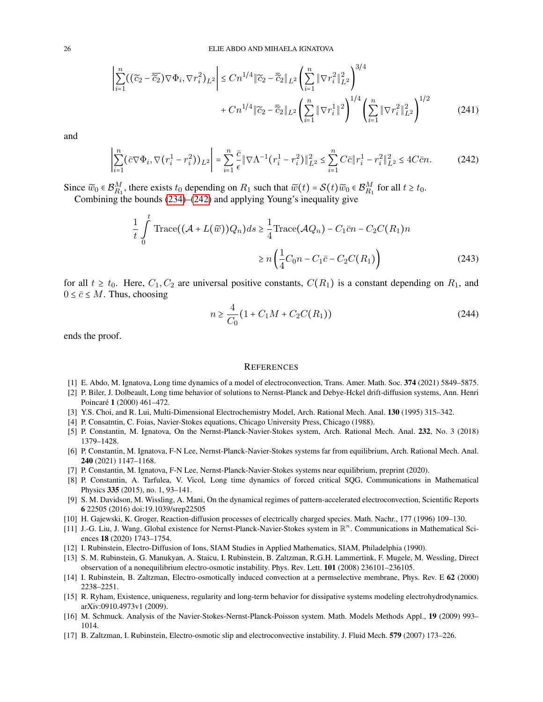$$
\left| \sum_{i=1}^{n} \left( (\widetilde{c}_{2} - \overline{\widetilde{c}_{2}}) \nabla \Phi_{i}, \nabla r_{i}^{2} \right)_{L^{2}} \right| \leq C n^{1/4} \|\widetilde{c}_{2} - \overline{\widetilde{c}_{2}} \|_{L^{2}} \left( \sum_{i=1}^{n} \|\nabla r_{i}^{2}\|_{L^{2}}^{2} \right)^{3/4} + C n^{1/4} \|\widetilde{c}_{2} - \overline{\widetilde{c}_{2}} \|_{L^{2}} \left( \sum_{i=1}^{n} \|\nabla r_{i}^{1}\|^{2} \right)^{1/4} \left( \sum_{i=1}^{n} \|\nabla r_{i}^{2}\|_{L^{2}}^{2} \right)^{1/2}
$$
(241)

$$
\left| \sum_{i=1}^{n} (\bar{c} \nabla \Phi_i, \nabla (r_i^1 - r_i^2))_{L^2} \right| = \sum_{i=1}^{n} \frac{\bar{c}}{\epsilon} \| \nabla \Lambda^{-1} (r_i^1 - r_i^2) \|_{L^2}^2 \le \sum_{i=1}^{n} C \bar{c} \| r_i^1 - r_i^2 \|_{L^2}^2 \le 4C \bar{c} n. \tag{242}
$$

Since  $\widetilde{w}_0 \in \mathcal{B}_{R_1}^M$ , there exists  $t_0$  depending on  $R_1$  such that  $\widetilde{w}(t) = \mathcal{S}(t)\widetilde{w}_0 \in \mathcal{B}_{R_1}^M$  for all  $t \ge t_0$ . Combining the bounds [\(234\)](#page-23-0)–[\(242\)](#page-25-16) and applying Young's inequality give

$$
\frac{1}{t} \int_{0}^{t} \text{Trace}((\mathcal{A} + L(\widetilde{w}))Q_n)ds \ge \frac{1}{4} \text{Trace}(\mathcal{A}Q_n) - C_1 \overline{c}n - C_2 C(R_1)n
$$

$$
\ge n \left(\frac{1}{4}C_0 n - C_1 \overline{c} - C_2 C(R_1)\right) \tag{243}
$$

for all  $t \geq t_0$ . Here,  $C_1, C_2$  are universal positive constants,  $C(R_1)$  is a constant depending on  $R_1$ , and  $0 \leq \overline{c} \leq M$ . Thus, choosing

<span id="page-25-16"></span>
$$
n \ge \frac{4}{C_0} \left( 1 + C_1 M + C_2 C(R_1) \right) \tag{244}
$$

ends the proof.

#### **REFERENCES**

- <span id="page-25-14"></span>[1] E. Abdo, M. Ignatova, Long time dynamics of a model of electroconvection, Trans. Amer. Math. Soc. 374 (2021) 5849–5875.
- <span id="page-25-1"></span>[2] P. Biler, J. Dolbeault, Long time behavior of solutions to Nernst-Planck and Debye-Hckel drift-diffusion systems, Ann. Henri Poincaré 1 (2000) 461-472.
- <span id="page-25-2"></span>[3] Y.S. Choi, and R. Lui, Multi-Dimensional Electrochemistry Model, Arch. Rational Mech. Anal. 130 (1995) 315–342.
- <span id="page-25-15"></span>[4] P. Consatntin, C. Foias, Navier-Stokes equations, Chicago University Press, Chicago (1988).
- <span id="page-25-5"></span>[5] P. Constantin, M. Ignatova, On the Nernst-Planck-Navier-Stokes system, Arch. Rational Mech. Anal. 232, No. 3 (2018) 1379–1428.
- <span id="page-25-12"></span>[6] P. Constantin, M. Ignatova, F-N Lee, Nernst-Planck-Navier-Stokes systems far from equilibrium, Arch. Rational Mech. Anal. 240 (2021) 1147–1168.
- [7] P. Constantin, M. Ignatova, F-N Lee, Nernst-Planck-Navier-Stokes systems near equilibrium, preprint (2020).
- <span id="page-25-13"></span>[8] P. Constantin, A. Tarfulea, V. Vicol, Long time dynamics of forced critical SQG, Communications in Mathematical Physics 335 (2015), no. 1, 93–141.
- <span id="page-25-11"></span>[9] S. M. Davidson, M. Wissling, A. Mani, On the dynamical regimes of pattern-accelerated electroconvection, Scientific Reports 6 22505 (2016) doi:19.1039/srep22505
- <span id="page-25-3"></span>[10] H. Gajewski, K. Groger, Reaction-diffusion processes of electrically charged species. Math. Nachr., 177 (1996) 109–130.
- <span id="page-25-7"></span>[11] J.-G. Liu, J. Wang. Global existence for Nernst-Planck-Navier-Stokes system in  $\mathbb{R}^n$ . Communications in Mathematical Sciences 18 (2020) 1743–1754.
- <span id="page-25-0"></span>[12] I. Rubinstein, Electro-Diffusion of Ions, SIAM Studies in Applied Mathematics, SIAM, Philadelphia (1990).
- <span id="page-25-10"></span>[13] S. M. Rubinstein, G. Manukyan, A. Staicu, I. Rubinstein, B. Zaltzman, R.G.H. Lammertink, F. Mugele, M. Wessling, Direct observation of a nonequilibrium electro-osmotic instability. Phys. Rev. Lett. 101 (2008) 236101–236105.
- <span id="page-25-8"></span>[14] I. Rubinstein, B. Zaltzman, Electro-osmotically induced convection at a permselective membrane, Phys. Rev. E 62 (2000) 2238–2251.
- <span id="page-25-4"></span>[15] R. Ryham, Existence, uniqueness, regularity and long-term behavior for dissipative systems modeling electrohydrodynamics. arXiv:0910.4973v1 (2009).
- <span id="page-25-6"></span>[16] M. Schmuck. Analysis of the Navier-Stokes-Nernst-Planck-Poisson system. Math. Models Methods Appl., 19 (2009) 993– 1014.
- <span id="page-25-9"></span>[17] B. Zaltzman, I. Rubinstein, Electro-osmotic slip and electroconvective instability. J. Fluid Mech. 579 (2007) 173–226.